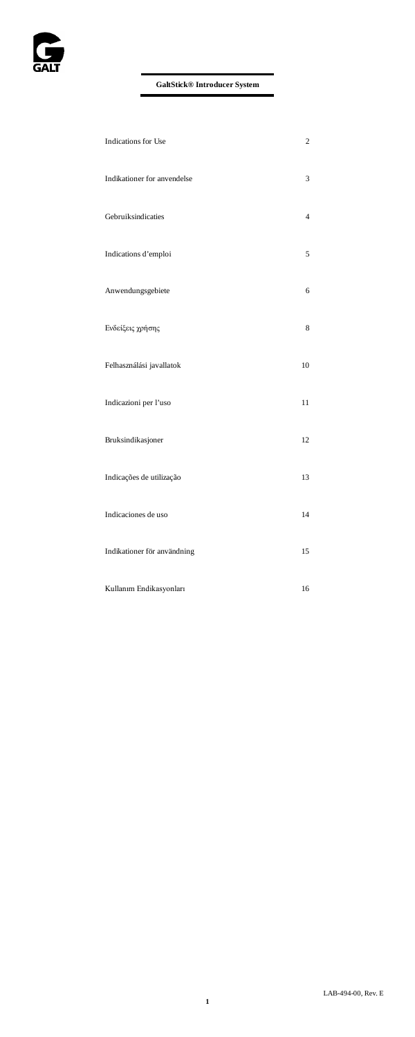

| Indications for Use         | $\overline{\mathbf{c}}$ |
|-----------------------------|-------------------------|
| Indikationer for anvendelse | 3                       |
| Gebruiksindicaties          | $\overline{4}$          |
| Indications d'emploi        | 5                       |
| Anwendungsgebiete           | 6                       |
| Ενδείξεις χρήσης            | 8                       |
| Felhasználási javallatok    | 10                      |
| Indicazioni per l'uso       | 11                      |
| Bruksindikasjoner           | 12                      |
| Indicações de utilização    | 13                      |
| Indicaciones de uso         | 14                      |
| Indikationer för användning | 15                      |
| Kullanım Endikasyonları     | 16                      |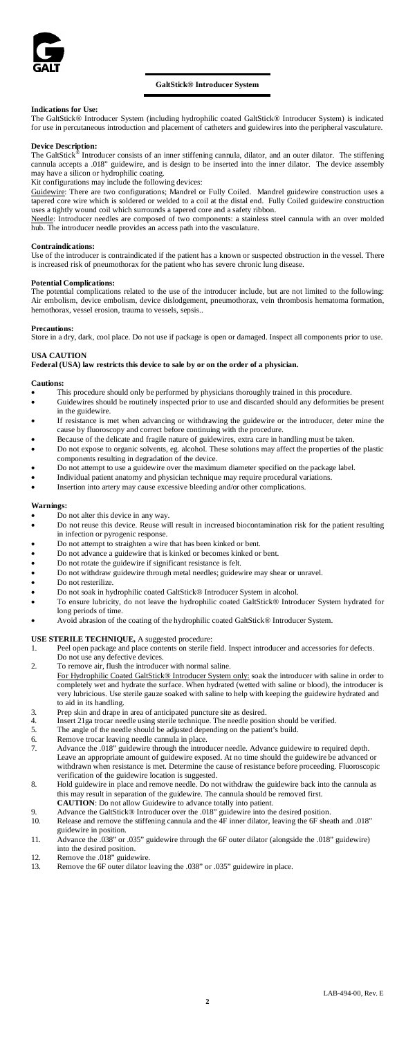

### **GaltStick® Introducer System**

**Indications for Use:** The GaltStick® Introducer System (including hydrophilic coated GaltStick® Introducer System) is indicated for use in percutaneous introduction and placement of catheters and guidewires into the peripheral vasculature.

**Device Description:** The GaltStick® Introducer consists of an inner stiffening cannula, dilator, and an outer dilator. The stiffening cannula accepts a .018" guidewire, and is design to be inserted into the inner dilator. The device assembly may have a silicon or hydrophilic coating.

Kit configurations may include the following devices:

Guidewire: There are two configurations; Mandrel or Fully Coiled. Mandrel guidewire construction uses a tapered core wire which is soldered or welded to a coil at the distal end. Fully Coiled guidewire construction

uses a tightly wound coil which surrounds a tapered core and a safety ribbon.<br><u>Needle</u>: Introducer needles are composed of two components: a stainless steel cannula with an over molded hub. The introducer needle provides an access path into the vasculature.

#### **Contraindications:**

Use of the introducer is contraindicated if the patient has a known or suspected obstruction in the vessel. There is increased risk of pneumothorax for the patient who has severe chronic lung disease.

#### **Potential Complications:**

The potential complications related to the use of the introducer include, but are not limited to the following: Air embolism, device embolism, device dislodgement, pneumothorax, vein thrombosis hematoma formation, hemothorax, vessel erosion, trauma to vessels, sepsis..

#### **Precautions:**

Store in a dry, dark, cool place. Do not use if package is open or damaged. Inspect all components prior to use.

## **USA CAUTION**

### **Federal (USA) law restricts this device to sale by or on the order of a physician.**

#### **Cautions:**

- This procedure should only be performed by physicians thoroughly trained in this procedure.
- Guidewires should be routinely inspected prior to use and discarded should any deformities be present in the guidewire.
- If resistance is met when advancing or withdrawing the guidewire or the introducer, deter mine the cause by fluoroscopy and correct before continuing with the procedure.
- Because of the delicate and fragile nature of guidewires, extra care in handling must be taken. • Do not expose to organic solvents, eg. alcohol. These solutions may affect the properties of the plastic components resulting in degradation of the device.
- Do not attempt to use a guidewire over the maximum diameter specified on the package label.
- Individual patient anatomy and physician technique may require procedural variations.
- Insertion into artery may cause excessive bleeding and/or other complications.

#### **Warnings:**

- Do not alter this device in any way.<br>• Do not reuse this device. Reuse wi
- Do not reuse this device. Reuse will result in increased biocontamination risk for the patient resulting in infection or pyrogenic response.
- Do not attempt to straighten a wire that has been kinked or bent.
- Do not advance a guidewire that is kinked or becomes kinked or bent.<br>• Do not rotate the guidewire if significant resistance is felt.
- Do not rotate the guidewire if significant resistance is felt.<br>• Do not withdraw guidewire through metal needles: guidew
- Do not withdraw guidewire through metal needles; guidewire may shear or unravel.
- Do not resterilize.
- Do not soak in hydrophilic coated GaltStick® Introducer System in alcohol.
	- To ensure lubricity, do not leave the hydrophilic coated GaltStick® Introducer System hydrated for long periods of tir
- Avoid abrasion of the coating of the hydrophilic coated GaltStick® Introducer System.

#### **USE STERILE TECHNIQUE,** A suggested procedure:

- 1. Peel open package and place contents on sterile field. Inspect introducer and accessories for defects.
- Do not use any defective devices.
- 2. To remove air, flush the introducer with normal saline.
	- For Hydrophilic Coated GaltStick® Introducer System only: soak the introducer with saline in order to<br>completely wet and hydrate the surface. When hydrated (wetted with saline or blood), the introducer is very lubricious. Use sterile gauze soaked with saline to help with keeping the guidewire hydrated and to aid in its handling.
- 3. Prep skin and drape in area of anticipated puncture site as desired.
- 4. Insert 21ga trocar needle using sterile technique. The needle position should be verified. 5. The angle of the needle should be adjusted depending on the patient's build.
- 
- 6. Remove trocar leaving needle cannula in place.
- Advance the .018" guidewire through the introducer needle. Advance guidewire to required depth. Leave an appropriate amount of guidewire exposed. At no time should the guidewire be advanced or withdrawn when resistance is met. Determine the cause of resistance before proceeding. Fluoroscopi n resistance is met. Determine the cause of resistance before proceeding. Fluoroscopic verification of the guidewire location is suggested. 8. Hold guidewire in place and remove needle. Do not withdraw the guidewire back into the cannula as
- this may result in separation of the guidewire. The cannula should be removed first.
- **CAUTION:** Do not allow Guidewire to advance totally into patient.<br>
9. Advance the GaltStick® Introducer over the .018" guidewire into the desired position.
- 10. Release and remove the stiffening cannula and the 4F inner dilator, leaving the 6F sheath and .018" guidewire in position.
- 11. Advance the .038" or .035" guidewire through the 6F outer dilator (alongside the .018" guidewire) into the desired position. 12. Remove the .018" guidewire.
- 
- 13. Remove the 6F outer dilator leaving the .038" or .035" guidewire in place.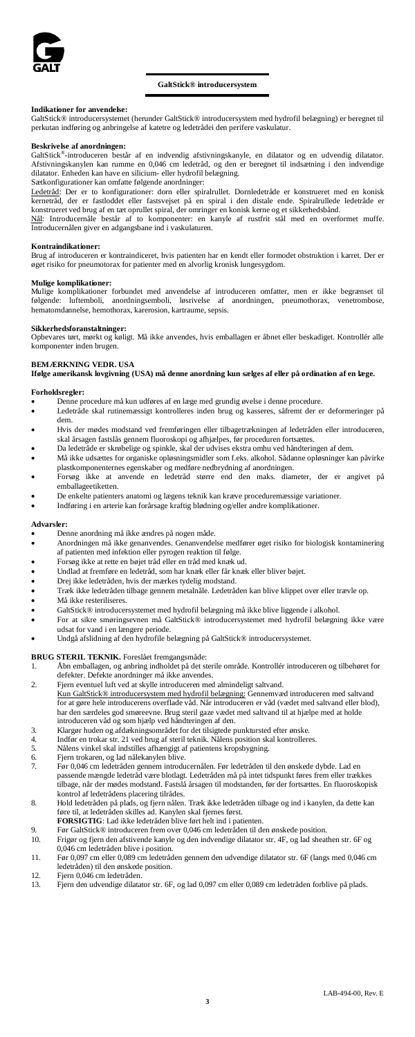

#### **GaltStick® introducersystem**

**Indikationer for anvendelse:** GaltStick® introducersystemet (herunder GaltStick® introducersystem med hydrofil belægning) er beregnet til perkutan indføring og anbringelse af katetre og ledetrådei den perifere vaskulatur.

**Beskrivelse af anordningen:** GaltStick®-introduceren består af en indvendig afstivningskanyle, en dilatator og en udvendig dilatator. Afstivningskanylen kan rumme en 0,046 cm ledetråd, og den er beregnet til indsætning i den indvendige dilatator. Enheden kan have en silicium- eller hydrofil belægning.

Sætkonfigurationer kan omfatte følgende anordninger:

Ledetråd: Der er to konfigurationer: dorn eller spiralrullet. Dornledetråde er konstrueret med en konisk kernetråd, der er fastloddet eller fastsvejset på en spiral i den distale ende. Spiralrullede ledetråde er konstrueret ved brug af en tæt oprullet spiral, der omringer en konisk kerne og et sikkerhedsbånd.<br><u>Nål</u>: Introducernåle består af to komponenter: en kanyle af rustfrit stål med en overformet muffe.

Introducernålen giver en adgangsbane ind i vaskulaturen.

#### **Kontraindikationer:**

Brug af introduceren er kontraindiceret, hvis patienten har en kendt eller formodet obstruktion i karret. Der er øget risiko for pneumotorax for patienter med en alvorlig kronisk lungesygdom.

#### **Mulige komplikationer:**

Mulige komplikationer forbundet med anvendelse af introduceren omfatter, men er ikke begrænset til følgende: luftemboli, anordningsemboli, løsrivelse af anordningen, pneumothorax, venetrombose, hematomdannelse, hemothorax, karerosion, kartraume, sepsis.

#### **Sikkerhedsforanstaltninger:**

Opbevares tørt, mørkt og køligt. Må ikke anvendes, hvis emballagen er åbnet eller beskadiget. Kontrollér alle komponenter inden brugen.

### **BEMÆRKNING VEDR. USA**

**Ifølge amerikansk lovgivning (USA) må denne anordning kun sælges af eller på ordination af en læge.**

### **Forholdsregler:**

- Denne procedure må kun udføres af en læge med grundig øvelse i denne procedure.<br>• I edetråde skal rutinemæssigt kontrolleres inden brug og kasseres, såfremt der en
- Ledetråde skal rutinemæssigt kontrolleres inden brug og kasseres, såfremt der er deformeringer på dem.
- Hvis der mødes modstand ved fremføringen eller tilbagetrækningen af ledetråden eller introduceren, skal årsagen fastslås gennem fluoroskopi og afhjælpes, før proceduren fortsættes.
- Da ledetråde er skrøbelige og spinkle, skal der udvises ekstra omhu ved håndteringen af dem.<br>
Må ikke udgattes for organiske opløsningsmidler som f.eks. alkohol. Sådanne opløsninger k • Må ikke udsættes for organiske opløsningsmidler som f.eks. alkohol. Sådanne opløsninger kan påvirke plastkomponenternes egenskaber og medføre nedbrydning af anordningen.
- Forsøg ikke at anvende en ledetråd større end den maks. diameter, der er angivet på emballageetiketten.
- De enkelte patienters anatomi og lægens teknik kan kræve proceduremæssige variationer.
- Indføring i en arterie kan forårsage kraftig blødning og/eller andre komplikationer.

### **Advarsler:**

- Denne anordning må ikke ændres på nogen måde.
- Anordningen må ikke genanvendes. Genanvendelse medfører øget risiko for biologisk kontaminering af patienten med infektion eller pyrogen reaktion til følge.
- Forsøg ikke at rette en bøjet tråd eller en tråd med knæk ud.
- Undlad at fremføre en ledetråd, som har knæk eller får knæk eller bliver bøjet.
- Drej ikke ledetråden, hvis der mærkes tydelig modstand.
- Træk ikke ledetråden tilbage gennem metalnåle. Ledetråden kan blive klippet over eller trævle op.
- Må ikke resteriliseres.<br>• GaltStick® introduce.
- GaltStick® introducersystemet med hydrofil belægning må ikke blive liggende i alkohol.
- For at sikre smøringsevnen må GaltStick® introducersystemet med hydrofil belægning ikke være udsat for vand i en længere periode.
- Undgå afslidning af den hydrofile belægning på GaltStick® introducersystemet.

# **BRUG STERIL TEKNIK.** Foreslået fremgangsmåde:<br>1 å bn emballagen, og anbring indholdet på det st

- 1. Åbn emballagen, og anbring indholdet på det sterile område. Kontrollér introduceren og tilbehøret for
- defekter. Defekte anordninger må ikke anvendes. 2. Fjern eventuel luft ved at skylle introduceren med almindeligt saltvand. Kun GaltStick® introducersystem med hydrofil belægning: Gennemvæd introduceren med saltvand<br>for at gøre hele introducerens overflade våd. Når introduceren er våd (vædet med saltvand eller blod), har den særdeles god smøreevne. Brug steril gaze vædet med saltvand til at hjælpe med at holde
- introduceren våd og som hjælp ved håndteringen af den. 3. Klargør huden og afdækningsområdet for det tilsigtede punktursted efter ønske.
- 4. Indfør en trokar str. 21 ved brug af steril teknik. Nålens position skal kontrolleres.
- 5. Nålens vinkel skal indstilles afhængigt af patientens kropsbygning.<br>5. Fjern trokaren, og lad nålekanylen blive.<br>7. Før 0.046 cm ledetråden gennem introducernålen. Før ledetråden ti
- Fjern trokaren, og lad nålekanylen blive.<br>Før 0.046 cm ledetråden gennem introdu
- 7. Før 0,046 cm ledetråden gennem introducernålen. Før ledetråden til den ønskede dybde. Lad en passende mængde ledetråd være blotlagt. Ledetråden må på intet tidspunkt føres frem eller trækkes tilbage, når der mødes modstand. Fastslå årsagen til modstanden, før der fortsættes. En fluoroskopisk kol af ledetrådens placering tilrådes.
- 8. Hold ledetråden på plads, og fjern nålen. Træk ikke ledetråden tilbage og ind i kanylen, da dette kan føre til, at ledetråden skilles ad. Kanylen skal fjernes først.
- **FORSIGTIG**: Lad ikke ledetråden blive ført helt ind i patienten.<br>9. Før GaltStick® introduceren frem over 0,046 cm ledetråden til den ønskede position.
- 
- 10. Frigør og fjern den afstivende kanyle og den indvendige dilatator str. 4F, og lad sheathen str. 6F og 0,046 cm ledetråden blive i position.
- 11. Før 0,097 cm eller 0,089 cm ledetråden gennem den udvendige dilatator str. 6F (langs med 0,046 cm ledetråden) til den ønskede position.
- 12. Fjern 0,046 cm ledetråden<br>13. Fjern den udvendige dilata
- 13. Fjern den udvendige dilatator str. 6F, og lad 0,097 cm eller 0,089 cm ledetråden forblive på plads.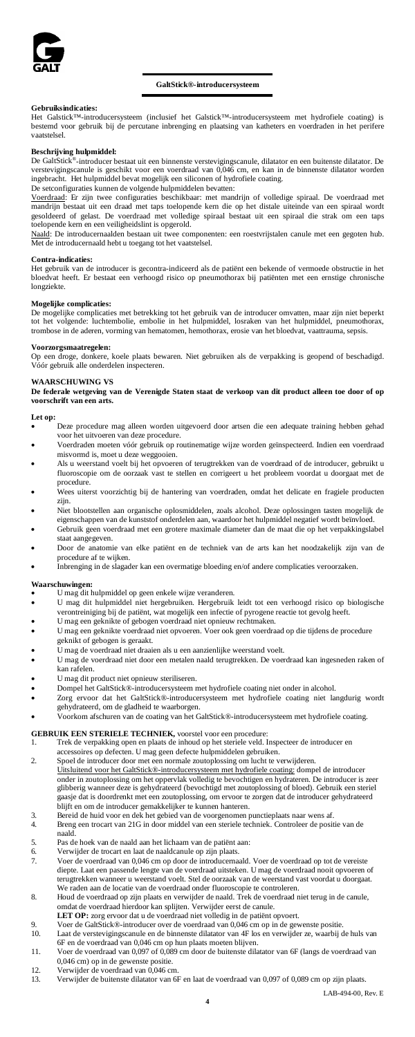

### **GaltStick®-introducersysteem**

#### **Gebruiksindicaties:**

Het Galstick™-introducersysteem (inclusief het Galstick™-introducersysteem met hydrofiele coating) is bestemd voor gebruik bij de percutane inbrenging en plaatsing van katheters en voerdraden in het perifere vaatstelsel.

### **Beschrijving hulpmiddel:**

De GaltStick®-introducer bestaat uit een binnenste verstevigingscanule, dilatator en een buitenste dilatator. De verstevigingscanule is geschikt voor een voerdraad van 0,046 cm, en kan in de binnenste dilatator worden ingebracht. Het hulpmiddel bevat mogelijk een siliconen of hydrofiele coating.

De setconfiguraties kunnen de volgende hulpmiddelen bevatten:<br><u>Voerdraad</u>: Er zijn twee configuraties beschikbaar: met mandrijn of volledige spiraal. De voerdraad met mandrijn bestaat uit een draad met taps toelopende kern die op het distale uiteinde van een spiraal wordt gesoldeerd of gelast. De voerdraad met volledige spiraal bestaat uit een spiraal die strak om een taps toelopende kern en een veiligheidslint is opgerold.

Naald: De introducernaalden bestaan uit twee componenten: een roestvrijstalen canule met een gegoten hub. Met de introducernaald hebt u toegang tot het vaatstelsel.

#### **Contra-indicaties:**

Het gebruik van de introducer is gecontra-indiceerd als de patiënt een bekende of vermoede obstructie in het bloedvat heeft. Er bestaat een verhoogd risico op pneumothorax bij patiënten met een ernstige chronische longziekte.

#### **Mogelijke complicaties:**

De mogelijke complicaties met betrekking tot het gebruik van de introducer omvatten, maar zijn niet beperkt tot het volgende: luchtembolie, embolie in het hulpmiddel, losraken van het hulpmiddel, pneumothorax, trombose in de aderen, vorming van hematomen, hemothorax, erosie van het bloedvat, vaattrauma, sepsis.

**Voorzorgsmaatregelen:** Op een droge, donkere, koele plaats bewaren. Niet gebruiken als de verpakking is geopend of beschadigd. Vóór gebruik alle onderdelen inspecteren.

# **WAARSCHUWING VS**

**De federale wetgeving van de Verenigde Staten staat de verkoop van dit product alleen toe door of op voorschrift van een arts.**

#### **Let op:**

- Deze procedure mag alleen worden uitgevoerd door artsen die een adequate training hebben gehad voor het uitvoeren van deze procedure.
- Voerdraden moeten vóór gebruik op routinematige wijze worden geïnspecteerd. Indien een voerdraad misvormd is, moet u deze weggooien.
- Als u weerstand voelt bij het opvoeren of terugtrekken van de voerdraad of de introducer, gebruikt u fluoroscopie om de oorzaak vast te stellen en corrigeert u het probleem voordat u doorgaat met de procedure.
- Wees uiterst voorzichtig bij de hantering van voerdraden, omdat het delicate en fragiele producten zijn.
- Niet blootstellen aan organische oplosmiddelen, zoals alcohol. Deze oplossingen tasten mogelijk de
- eigenschappen van de kunststof onderdelen aan, waardoor het hulpmiddel negatief wordt beïnvloed. Gebruik geen voerdraad met een grotere maximale diameter dan de maat die op het verpakkingslabel staat aangegeven.
- Door de anatomie van elke patiënt en de techniek van de arts kan het noodzakelijk zijn van de
- procedure af te wijken. Inbrenging in de slagader kan een overmatige bloeding en/of andere complicaties veroorzaken.

#### **Waarschuwingen:**

- U mag dit hulpmiddel op geen enkele wijze veranderen.
- U mag dit hulpmiddel niet hergebruiken. Hergebruik leidt tot een verhoogd risico op biologische verontreiniging bij de patiënt, wat mogelijk een infectie of pyrogene reactie tot gevolg heeft.
- U mag een geknikte of gebogen voerdraad niet opnieuw rechtmaken. • U mag een geknikte voerdraad niet opvoeren. Voer ook geen voerdraad op die tijdens de procedure
- geknikt of gebogen is geraakt. • U mag de voerdraad niet draaien als u een aanzienlijke weerstand voelt.<br>• U mag de voerdraad niet door een metalen naald terugtrekken. De voer
- U mag de voerdraad niet door een metalen naald terugtrekken. De voerdraad kan ingesneden raken of kan rafelen.
- U mag dit product niet opnieuw steriliseren.
- Dompel het GaltStick®-introducersysteem met hydrofiele coating niet onder in alcohol.
- Zorg ervoor dat het GaltStick®-introducersysteem met hydrofiele coating niet langdurig wordt gehydrateerd, om de gladheid te waarborgen.
- Voorkom afschuren van de coating van het GaltStick®-introducersysteem met hydrofiele coating.

- GEBRUIK EEN STERIELE TECHNIEK, voorstel voor een procedure:<br>1. Trek de verpakking open en plaats de inhoud op het steriele veld. Inspecteer de introducer en accessoires op defecten. U mag geen defecte hulpmiddelen gebruiken.
- 2. Spoel de introducer door met een normale zoutoplossing om lucht te verwijderen. Uitsluitend voor het GaltStick®-introducersysteem met hydrofiele coating: dompel de introducer onder in zoutoplossing om het oppervlak volledig te bevochtigen en hydrateren. De introducer is zeer glibberig wanneer deze is gehydrateerd (bevochtigd met zoutoplossing of bloed). Gebruik een steriel gaasje dat is doordrenkt met een zoutoplossing, om ervoor te zorgen dat de introducer gehydrateerd
- blijft en om de introducer gemakkelijker te kunnen hanteren. 3. Bereid de huid voor en dek het gebied van de voorgenomen punctieplaats naar wens af.
- 4. Breng een trocart van 21G in door middel van een steriele techniek. Controleer de positie van de naald.
- 5. Pas de hoek van de naald aan het lichaam van de patiënt aan:
- 6. Verwijder de trocart en laat de naaldcanule op zijn plaats. 7. Voer de voerdraad van 0,046 cm op door de introducernaald. Voer de voerdraad op tot de vereiste
- diepte. Laat een passende lengte van de voerdraad uitsteken. U mag de voerdraad nooit opvoeren of terugtrekken wanneer u weerstand voelt. Stel de oorzaak van de weerstand vast voordat u doorgaat. We raden aan de locatie van de voerdraad onder fluoroscopie te controleren. 8. Houd de voerdraad op zijn plaats en verwijder de naald. Trek de voerdraad niet terug in de canule,
- omdat de voerdraad hierdoor kan splijten. Verwijder eerst de canule. **LET OP:** zorg ervoor dat u de voerdraad niet volledig in de patiënt opvoert.
- 
- 9. Voer de GaltStick®-introducer over de voerdraad van 0,046 cm op in de gewenste positie. 10. Laat de verstevigingscanule en de binnenste dilatator van 4F los en verwijder ze, waarbij de huls van 6F en de voerdraad van 0,046 cm op hun plaats moeten blijven.
- 11. Voer de voerdraad van 0,097 of 0,089 cm door de buitenste dilatator van 6F (langs de voerdraad van 0,046 cm) op in de gewenste positie.
- 12. Verwijder de voerdraad van  $\dot{0,}046$  cm.<br>13. Verwijder de buitenste dilatator van 6
- 13. Verwijder de buitenste dilatator van 6F en laat de voerdraad van 0,097 of 0,089 cm op zijn plaats.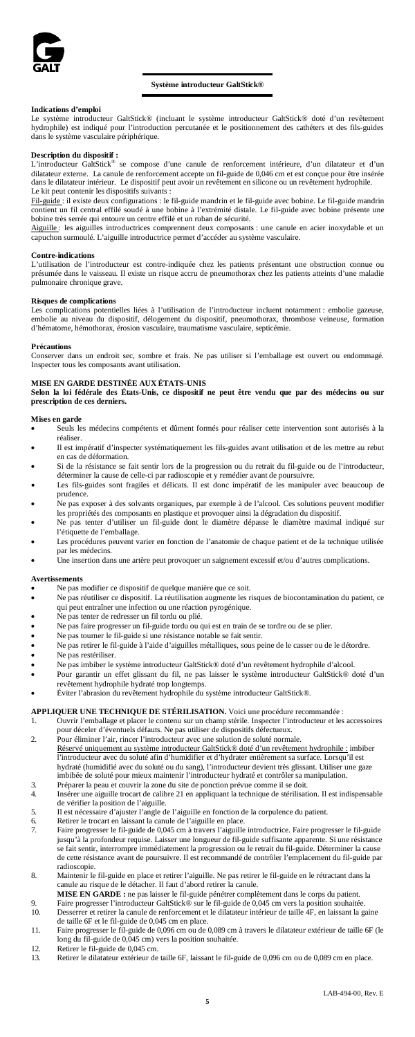

### **Système introducteur GaltStick®**

#### **Indications d'emploi**

Le système introducteur GaltStick® (incluant le système introducteur GaltStick® doté d'un revêtement hydrophile) est indiqué pour l'introduction percutanée et le positionnement des cathéters et des fils-guides dans le système vasculaire périphérique.

**Description du dispositif :**<br>L'introducteur Gall:Sick® se compose d'une canule de renforcement intérieure, d'un dilatateur et d'un<br>dilatateur externe. La canule de renforcement accepte un fil-guide de 0,046 cm et est conç dans le dilatateur intérieur. Le dispositif peut avoir un revêtement en silicone ou un revêtement hydrophile. Le kit peut contenir les dispositifs suivants :

Fil-guide : il existe deux configurations : le fil-guide mandrin et le fil-guide avec bobine. Le fil-guide mandrin contient un fil central effilé soudé à une bobine à l'extrémité distale. Le fil-guide avec bobine présente une bobine très serrée qui entoure un centre effilé et un ruban de sécurité.

Aiguille : les aiguilles introductrices comprennent deux composants : une canule en acier inoxydable et un capuchon surmoulé. L'aiguille introductrice permet d'accéder au système vasculaire.

#### **Contre-indications**

L'utilisation de l'introducteur est contre-indiquée chez les patients présentant une obstruction connue ou présumée dans le vaisseau. Il existe un risque accru de pneumothorax chez les patients atteints d'une maladie pulmonaire chronique grave

#### **Risques de complications**

Les complications potentielles liées à l'utilisation de l'introducteur incluent notamment : embolie gazeuse, embolie au niveau du dispositif, délogement du dispositif, pneumothorax, thrombose veineuse, formation d'hématome, hémothorax, érosion vasculaire, traumatisme vasculaire, septicémie.

#### **Précautions**

Conserver dans un endroit sec, sombre et frais. Ne pas utiliser si l'emballage est ouvert ou endommagé. Inspecter tous les composants avant utilisation.

#### **MISE EN GARDE DESTINÉE AUX ÉTATS-UNIS**

**Selon la loi fédérale des États-Unis, ce dispositif ne peut être vendu que par des médecins ou sur prescription de ces derniers.**

### **Mises en garde**

• Seuls les médecins compétents et dûment formés pour réaliser cette intervention sont autorisés à la réaliser.

- Il est impératif d'inspecter systématiquement les fils-guides avant utilisation et de les mettre au rebut en cas de déformation.
- Si de la résistance se fait sentir lors de la progression ou du retrait du fil-guide ou de l'introducteur,
- déterminer la cause de celle-ci par radioscopie et y remédier avant de poursuivre. Les fils-guides sont fragiles et délicats. Il est donc impératif de les manipuler avec beaucoup de prudence.
- Ne pas exposer à des solvants organiques, par exemple à de l'alcool. Ces solutions peuvent modifier
- les propriétés des composants en plastique et provoquer ainsi la dégradation du dispositif. Ne pas tenter d'utiliser un fil-guide dont le diamètre dépasse le diamètre maximal indiqué sur l'étiquette de l'emballage.
- Les procédures peuvent varier en fonction de l'anatomie de chaque patient et de la technique utilisée par les médecins. • Une insertion dans une artère peut provoquer un saignement excessif et/ou d'autres complications.

#### **Avertissements**

- Ne pas modifier ce dispositif de quelque manière que ce soit.<br>• Ne pas réutiliser ce dispositif. La réutilisation augmente les r
- Ne pas réutiliser ce dispositif. La réutilisation augmente les risques de biocontamination du patient, ce qui peut entraîner une infection ou une réaction pyrogénique.
- Ne pas tenter de redresser un fil tordu ou plié.
- Ne pas faire progresser un fil-guide tordu ou qui est en train de se tordre ou de se plier.
- Ne pas tourner le fil-guide si une résistance notable se fait sentir.<br>• Ne pas retirer le fil-guide à l'aide d'aiguilles métalliques sous pe • Ne pas retirer le fil-guide à l'aide d'aiguilles métalliques, sous peine de le casser ou de le détordre.
- Ne pas restériliser.
- Ne pas imbiber le système introducteur GaltStick® doté d'un revêtement hydrophile d'alcool.
- Pour garantir un effet glissant du fil, ne pas laisser le système introducteur GaltStick® doté d'un
- revêtement hydrophile hydraté trop longtemps. Éviter l'abrasion du revêtement hydrophile du système introducteur GaltStick®.

## **APPLIQUER UNE TECHNIQUE DE STÉRILISATION.** Voici une procédure recommandée :<br>1 Ouvrir l'emballage et placer le contenu sur un champ stérile. Inspecter l'introducteur et les 1. Ouvrir l'emballage et placer le contenu sur un champ stérile. Inspecter l'introducteur et les accessoires pour déceler d'éventuels défauts. Ne pas utiliser de dispositifs défectueux.

- 2. Pour éliminer l'air, rincer l'introducteur avec une solution de soluté normale.
- <mark>Réservé uniquement au système introducteur GaltStick® doté d'un revêtement hydrophile :</mark> imbiber<br>l'introducteur avec du soluté afin d'humidifier et d'hydrater entièrement sa surface. Lorsqu'il est hydraté (humidifié avec du soluté ou du sang), l'introducteur devient très glissant. Utiliser une gaze imbibée de soluté pour mieux maintenir l'introducteur hydraté et contrôler sa manipulation. 3. Préparer la peau et couvrir la zone du site de ponction prévue comme il se doit.
- 4. Insérer une aiguille trocart de calibre 21 en appliquant la technique de stérilisation. Il est indispensable de vérifier la position de l'aiguille.
- 5. Il est nécessaire d'ajuster l'angle de l'aiguille en fonction de la corpulence du patient.<br>6. Retirer le trocart en laissant la canule de l'aiguille en place.<br>7. Faire progresser le fil-guide de 0,045 cm à travers l'aig
	-
- 6. Retirer le trocart en laissant la canule de l'aiguille en place. 7. Faire progresser le fil-guide de 0,045 cm à travers l'aiguille introductrice. Faire progresser le fil-guide jusqu'à la profondeur requise. Laisser une longueur de fil-guide suffisante apparente. Si une résistance<br>se fait sentir, interrompre immédiatement la progression ou le retrait du fil-guide. Déterminer la cause<br>de cette rés radioscopie.
- 8. Maintenir le fil-guide en place et retirer l'aiguille. Ne pas retirer le fil-guide en le rétractant dans la nule au risque de le détacher. Il faut d'abord retirer la canule.
	-
- MISE EN GARDE : ne pas laisser le fil-guide pénétrer complètement dans le corps du patient.<br>9. Faire progresser l'introducteur GaltStick® sur le fil-guide de 0,045 cm vers la position souhaitée.<br>10. Desserrer et retirer la
- de taille 6F et le fil-guide de 0,045 cm en place.<br>11. Faire progresser le fil-guide de 0,096 cm ou de 0,089 cm à travers le dilatateur extérieur de taille 6F (le<br>long du fil-guide de 0,045 cm) vers la position souhaitée.
- 12. Retirer le fil-guide de 0,045 cm.<br>13. Retirer le dilatateur extérieur de
- 13. Retirer le dilatateur extérieur de taille 6F, laissant le fil-guide de 0,096 cm ou de 0,089 cm en place.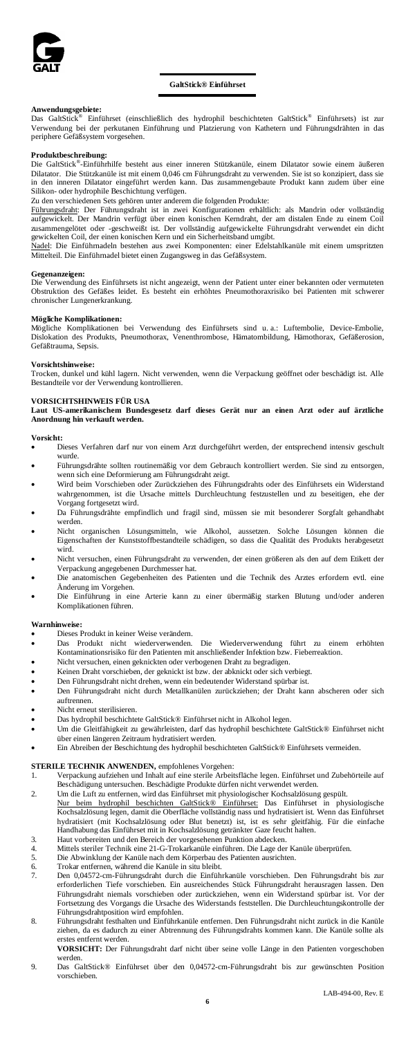

#### **GaltStick® Einführset**

# **Anwendungsgebiete:**

Das GaltStick® Einführset (einschließlich des hydrophil beschichteten GaltStick® Einführsets) ist zur Verwendung bei der perkutanen Einführung und Platzierung von Kathetern und Führungsdrähten in das periphere Gefäßsystem vorgesehen.

**Produktbeschreibung:**<br>Die GaltStick<sup>®</sup>-Einführhilfe besteht aus einer inneren Stützkanüle, einem Dilatator sowie einem äußeren<br>Dilatator. Die Stützkanüle ist mit einem 0,046 cm Führungsdraht zu verwenden. Sie ist so konzi Silikon- oder hydrophile Beschichtung verfügen. Zu den verschiedenen Sets gehören unter anderem die folgenden Produkte:

Führungsdraht: Der Führungsdraht ist in zwei Konfigurationen erhältlich: als Mandrin oder vollständig aufgewickelt. Der Mandrin verfügt über einen konischen Kerndraht, der am distalen Ende zu einem Coil zusammengelötet oder -geschweißt ist. Der vollständig aufgewickelte Führungsdraht verwendet ein dicht gewickelten Coil, der einen konischen Kern und ein Sicherheitsband umgibt.<br><u>Nadel</u>: Die Einführnadeln bestehen aus zwei Komponenten: einer Edelstahlkanüle mit einem umspritzten

Mittelteil. Die Einführnadel bietet einen Zugangsweg in das Gefäßsystem.

## **Gegenanzeigen:**

Die Verwendung des Einführsets ist nicht angezeigt, wenn der Patient unter einer bekannten oder vermuteten Obstruktion des Gefäßes leidet. Es besteht ein erhöhtes Pneumothoraxrisiko bei Patienten mit schwerer chronischer Lungenerkrankung.

#### **Mögliche Komplikationen:**

Mögliche Komplikationen bei Verwendung des Einführsets sind u. a.: Luftembolie, Device-Embolie, Dislokation des Produkts, Pneumothorax, Venenthrombose, Hämatombildung, Hämothorax, Gefäßerosion, Gefäßtrauma, Sepsis.

#### **Vorsichtshinweise:**

Trocken, dunkel und kühl lagern. Nicht verwenden, wenn die Verpackung geöffnet oder beschädigt ist. Alle Bestandteile vor der Verwendung kontrollieren.

#### **VORSICHTSHINWEIS FÜR USA**

**Laut US-amerikanischem Bundesgesetz darf dieses Gerät nur an einen Arzt oder auf ärztliche Anordnung hin verkauft werden.**

#### **Vorsicht:**

- Dieses Verfahren darf nur von einem Arzt durchgeführt werden, der entsprechend intensiv geschult wurde.
- Führungsdrähte sollten routinemäßig vor dem Gebrauch kontrolliert werden. Sie sind zu entsorgen, wenn sich eine Deformierung am Führungsdraht zeigt.
- Wird beim Vorschieben oder Zurückziehen des Führungsdrahts oder des Einführsets ein Widerstand wahrgenommen, ist die Ursache mittels Durchleuchtung festzustellen und zu beseitigen, ehe der
- Vorgang fortgesetzt wird. Da Führungsdrähte empfindlich und fragil sind, müssen sie mit besonderer Sorgfalt gehandhabt werden.
- Nicht organischen Lösungsmitteln, wie Alkohol, aussetzen. Solche Lösungen können die Eigenschaften der Kunststoffbestandteile schädigen, so dass die Qualität des Produkts herabgesetzt wird
- Nicht versuchen, einen Führungsdraht zu verwenden, der einen größeren als den auf dem Etikett der Verpackung angegebenen Durchmesser hat.
- Die anatomischen Gegebenheiten des Patienten und die Technik des Arztes erfordern evtl. eine Änderung im Vorgehen.
- Die Einführung in eine Arterie kann zu einer übermäßig starken Blutung und/oder anderen Komplikationen führen.

#### **Warnhinweise:**

- 
- Dieses Produkt in keiner Weise verändern. Die Wiederverwendung führt zu einem erhöhten Kontaminationsrisiko für den Patienten mit anschließender Infektion bzw. Fieberreaktion.
- Nicht versuchen, einen geknickten oder verbogenen Draht zu begradigen.
- Keinen Draht vorschieben, der geknickt ist bzw. der abknickt oder sich verbiegt.
- Den Führungsdraht nicht drehen, wenn ein bedeutender Widerstand spürbar ist.
- Den Führungsdraht nicht durch Metallkanülen zurückziehen; der Draht kann abscheren oder sich auftrennen.
- Nicht erneut sterilisieren.
- Das hydrophil beschichtete GaltStick® Einführset nicht in Alkohol legen.
- Um die Gleitfähigkeit zu gewährleisten, darf das hydrophil beschichtete GaltStick® Einführset nicht über einen längeren Zeitraum hydratisiert werden. über einen längeren Zeitra
- Ein Abreiben der Beschichtung des hydrophil beschichteten GaltStick® Einführsets vermeiden.

### **STERILE TECHNIK ANWENDEN,** empfohlenes Vorgehen:

- 1. Verpackung aufziehen und Inhalt auf eine sterile Arbeitsfläche legen. Einführset und Zubehörteile auf Beschädigung untersuchen. Beschädigte Produkte dürfen nicht verwendet werden.
- 2. Um die Luft zu entfernen, wird das Einführset mit physiologischer Kochsalzlösung gespült. Nur beim hydrophil beschichten GaltStick® Einführset: Das Einführset in physiologische Kochsalzlösung legen, damit die Oberfläche vollständig nass und hydratisiert ist. Wenn das Einführset hydratisiert (mit Kochsalzlösung oder Blut benetzt) ist, ist es sehr gleitfähig. Für die einfache Handhabung das Einführset mit in Kochsalzlösung getränkter Gaze feucht halten.
- 
- 3. Haut vorbereiten und den Bereich der vorgesehenen Punktion abdecken.<br>4. Mittels steriler Technik eine 21-G-Trokarkanüle einführen. Die Lage der Kanüle überprüfen.<br>5. Die Abwinklung der Kanüle nach dem Körperbau des Pati
- 
- 6. Trokar entfernen, während die Kanüle in situ bleibt. 7. Den 0,04572-cm-Führungsdraht durch die Einführkanüle vorschieben. Den Führungsdraht bis zur erforderlichen Tiefe vorschieben. Ein ausreichendes Stück Führungsdraht herausragen lassen. Den Führungsdraht niemals vorschieben oder zurückziehen, wenn ein Widerstand spürbar ist. Vor der Fortsetzung des Vorgangs die Ursache des Widerstands feststellen. Die Durchleuchtungskontrolle der Führungsdrahtposition wird empfohlen.
- 8. Führungsdraht festhalten und Einführkanüle entfernen. Den Führungsdraht nicht zurück in die Kanüle ziehen, da es dadurch zu einer Abtrennung des Führungsdrahts kommen kann. Die Kanüle sollte als erstes entfernt werden.
- **VORSICHT:** Der Führungsdraht darf nicht über seine volle Länge in den Patienten vorgeschoben werden.
- 9. Das GaltStick® Einführset über den 0,04572-cm-Führungsdraht bis zur gewünschten Position vorschieben.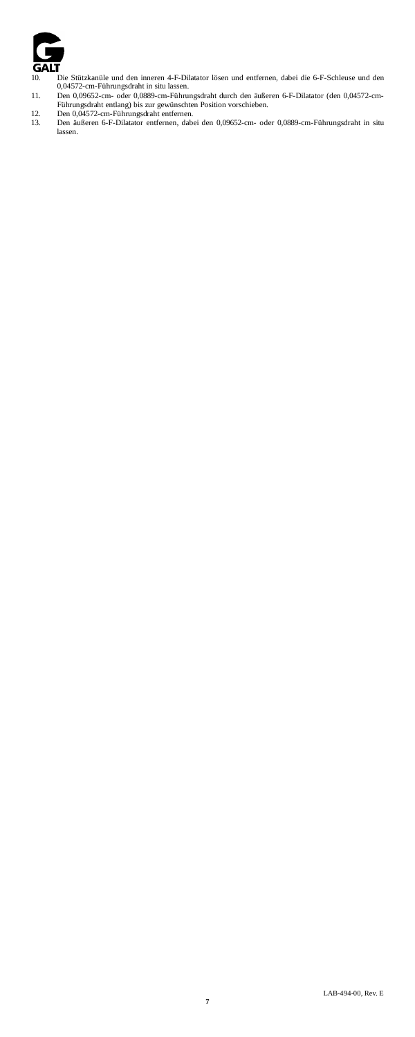

- 10. Die Stützkanüle und den inneren 4-F-Dilatator lösen und entfernen, dabei die 6-F-Schleuse und den 0,04572-cm-Führungsdraht in situ lassen.<br>11. Den 0,09652-cm- oder 0,0889-cm-Führungsdraht durch den äußeren 6-F-Dilatato
- 
- lassen.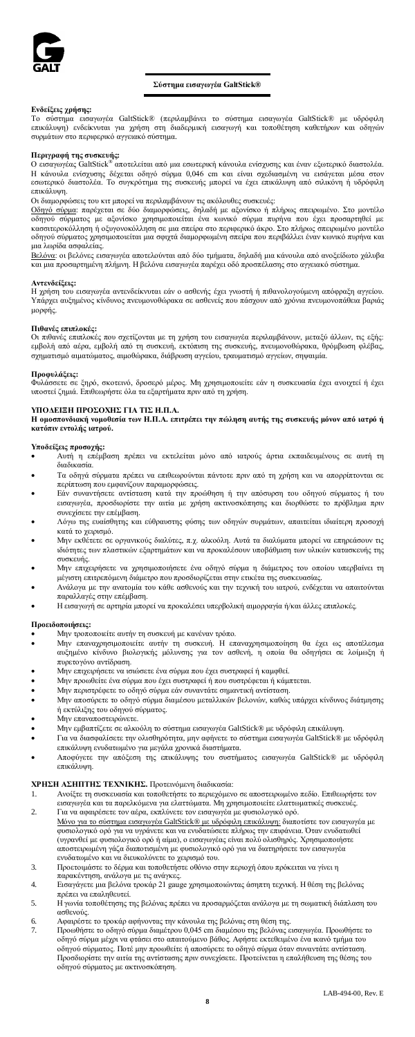

### **Σύστημα εισαγωγέα GaltStick®**

### **Ενδείξεις χρήσης:**

Το σύστημα εισαγωγέα GaltStick® (περιλαμβάνει το σύστημα εισαγωγέα GaltStick® με υδρόφιλη επικάλυψη) ενδείκνυται για χρήση στη διαδερμική εισαγωγή και τοποθέτηση καθετήρων και οδηγών συρμάτων στο περιφερικό αγγειακό σύστημα.

Π**εριγραφή της συσκευή**ς:<br>Ο εισαγωγέας GaltStick® αποτελείται από μια εσωτερική κάνουλα ενίσχυσης και έναν εξωτερικό διαστολέα.<br>Η κάνουλα ενίσχυσης δέχεται οδηγό σύρμα 0,046 cm και είναι σχεδιασμένη να εισάγεται μέσα στον

Οι διαμορφώσεις του κιτ μπορεί να περιλαμβάνουν τις ακόλουθες συσκευές:

<u>Οδηγό σύρμα</u>: παρέχεται σε δύο διαμορφώσεις, δηλαδή με αξονίσκο ή πλήρως σπειρωμένο. Στο μοντέλο<br>οδηγού σύρματος με αξονίσκο χρησιμοποιείται ένα κωνικό σύρμα πυρήνα που έχει προσαρτηθεί με<br>κασσιτεροκόλληση ή οξυγονοκόλλη οδηγού σύρματος χρησιμοποιείται μια σφιχτά διαμορφωμένη σπείρα που περιβάλλει έναν κωνικό πυρήνα και μια λωρίδα ασφαλείας.

<u>Βελόνα</u>: οι βελόνες εισαγωγέα αποτελούνται από δύο τμήματα, δηλαδή μια κάνουλα από ανοξείδωτο χάλυβα<br>και μια προσαρτημένη πλήμνη. Η βελόνα εισαγωγέα παρέχει οδό προσπέλασης στο αγγειακό σύστημα.

#### **Αντενδείξεις:**

Η χρήση του εισαγωγέα αντενδείκνυται εάν ο ασθενής έχει γνωστή ή πιθανολογούμενη απόφραξη αγγείου.<br>Υπάρχει αυξημένος κίνδυνος πνευμονοθώρακα σε ασθενείς που πάσχουν από χρόνια πνευμονοπάθεια βαριάς μορφής.

#### **Πιθανές επιπλοκές:**

Οι πιθανές επιπλοκές που σχετίζονται με τη χρήση του εισαγωγέα περιλαμβάνουν, μεταξύ άλλων, τις εξής:<br>εμβολή από αέρα, εμβολή από τη συσκευή, εκτόπιση της συσκευής, πνευμονοθώρακα, θρόμβωση φλέβας,<br>σχηματισμό αιματώματος,

#### **Προφυλάξεις:**

Φυλάσσετε σε ξηρό, σκοτεινό, δροσερό μέρος. Μη χρησιμοποιείτε εάν η συσκευασία έχει ανοιχτεί ή έχει υποστεί ζημιά. Επιθεωρήστε όλα τα εξαρτήματα πριν από τη χρήση.

#### **ΥΠΟΔΕΙΞΗ ΠΡΟΣΟΧΗΣ ΓΙΑ ΤΙΣ Η.Π.Α.**

**Η ομοσπονδιακή νομοθεσία των Η.Π.Α. επιτρέπει την πώληση αυτής της συσκευής μόνον από ιατρό ή κατόπιν εντολής ιατρού.**

## **Υποδείξεις προσοχής:**

- Αυτή η επέμβαση πρέπει να εκτελείται μόνο από ιατρούς άρτια εκπαιδευμένους σε αυτή τη διαδικασία.
- Τα οδηγά σύρματα πρέπει να επιθεωρούνται πάντοτε πριν από τη χρήση και να απορρίπτονται σε
- περίπτωση που εμφανίζουν παραμορφώσεις. Εάν συναντήσετε αντίσταση κατά την προώθηση ή την απόσυρση του οδηγού σύρματος ή του εισαγωγέα, προσδιορίστε την αιτία με χρήση ακτινοσκόπησης και διορθώστε το πρόβλημα πριν συνεχίσετε την επέμβαση.
- Λόγω της ευαίσθητης και εύθραυστης φύσης των οδηγών συρμάτων, απαιτείται ιδιαίτερη προσοχή κατά το χειρισμό.
- Μην εκθέτετε σε οργανικούς διαλύτες, π.χ. αλκοόλη. Αυτά τα διαλύματα μπορεί να επηρεάσουν τις ιδιότητες των πλαστικών εξαρτημάτων και να προκαλέσουν υποβάθμιση των υλικών κατασκευής της συσκευής.
- Μην επιχειρήσετε να χρησιμοποιήσετε ένα οδηγό σύρμα η διάμετρος του οποίου υπερβαίνει τη μέγιστη επιτρεπόμενη διάμετρο που προσδιορίζεται στην ετικέτα της συσκευασίας.
- Ανάλογα με την ανατομία του κάθε ασθενούς και την τεχνική του ιατρού, ενδέχεται να απαιτούνται παραλλαγές στην επέμβαση.
- Η εισαγωγή σε αρτηρία μπορεί να προκαλέσει υπερβολική αιμορραγία ή/και άλλες επιπλοκές.

#### **Προειδοποιήσεις:**

- Μην τροποποιείτε αυτήν τη συσκευή με κανέναν τρόπο.
- Μην επαναχρησιμοποιείτε αυτήν τη συσκευή. Η επαναχρησιμοποίηση θα έχει ως αποτέλεσμα αυξημένο κίνδυνο βιολογικής μόλυνσης για τον ασθενή, η οποία θα οδηγήσει σε λοίμωξη ή πυρετογόνο αντίδραση.
- Μην επιχειρήσετε να ισιώσετε ένα σύρμα που έχει συστραφεί ή καμφθεί.
- Μην προωθείτε ένα σύρμα που έχει συστραφεί ή που συστρέφεται ή κάμπτεται.
- Μην περιστρέφετε το οδηγό σύρμα εάν συναντάτε σημαντική αντίσταση.
- Μην αποσύρετε το οδηγό σύρμα διαμέσου μεταλλικών βελονών, καθώς υπάρχει κίνδυνος διάτμησης ή εκτύλιξης του οδηγού σύρματος.
- ...<br>1ην επαναποστειρώνετε.
- Μην εμβαπτίζετε σε αλκοόλη το σύστημα εισαγωγέα GaltStick® με υδρόφιλη επικάλυψη.
- Για να διασφαλίσετε την ολισθηρότητα, μην αφήνετε το σύστημα εισαγωγέα GaltStick® με υδρόφιλη επικάλυψη ενυδατωμένο για μεγάλα χρονικά διαστήματα.
- Αποφύγετε την απόξεση της επικάλυψης του συστήματος εισαγωγέα GaltStick® με υδρόφιλη επικάλυψη.

### **ΧΡΗΣΗ ΑΣΗΠΤΗΣ ΤΕΧΝΙΚΗΣ.** Προτεινόμενη διαδικασία:

- 1. Ανοίξτε τη συσκευασία και τοποθετήστε το περιεχόμενο σε αποστειρωμένο πεδίο. Επιθεωρήστε τον εισαγωγέα και τα παρελκόμενα για ελαττώματα. Μη χρησιμοποιείτε ελαττωματικές συσκευές. 2. Για να αφαιρέσετε τον αέρα, εκπλύνετε τον εισαγωγέα με φυσιολογικό ορό.
- <u>Μόνο για το σύστημα εισαγωγέα GaltStick® με υδρόφιλη επικάλυψη:</u> διαποτίστε τον εισαγωγέα με<br>φυσιολογικό ορό για να υγράνετε και να ενυδατώσετε πλήρως την επιφάνεια. Όταν ενυδατωθεί (υγρανθεί με φυσιολογικό ορό ή αίμα), ο εισαγωγέας είναι πολύ ολισθηρός. Χρησιμοποιήστε αποστειρωμένη γάζα διαποτισμένη με φυσιολογικό ορό για να διατηρήσετε τον εισαγωγέα ενυδατωμένο και να διευκολύνετε το χειρισμό του.
- 3. Προετοιμάστε το δέρμα και τοποθετήστε οθόνιο στην περιοχή όπου πρόκειται να γίνει η παρακέντηση, ανάλογα με τις ανάγκες.
- 4. Εισαγάγετε μια βελόνα τροκάρ 21 gauge χρησιμοποιώντας άσηπτη τεχνική. Η θέση της βελόνας πρέπει να επαληθευτεί.
- 5. Η γωνία τοποθέτησης της βελόνας πρέπει να προσαρμόζεται ανάλογα με τη σωματική διάπλαση του ασθενούς.
- 
- 6. Αφαιρέστε το τροκάρ αφήνοντας την κάνουλα της βελόνας στη θέση της. 7. Προωθήστε το οδηγό σύρμα διαμέτρου 0,045 cm διαμέσου της βελόνας εισαγωγέα. Προωθήστε το οδηγό σύρμα μέχρι να φτάσει στο απαιτούμενο βάθος. Αφήστε εκτεθειμένο ένα ικανό τμήμα του οδηγού σύρματος. Ποτέ μην προωθείτε ή αποσύρετε το οδηγό σύρμα όταν συναντάτε αντίσταση. Προσδιορίστε την αιτία της αντίστασης πριν συνεχίσετε. Προτείνεται η επαλήθευση της θέσης του οδηγού σύρματος με ακτινοσκόπηση.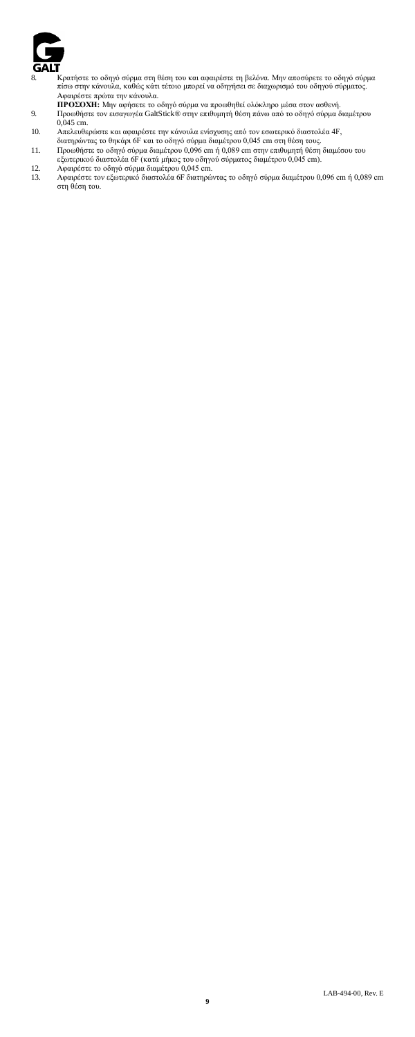

- 8. Κρατήστε το οδηγό σύρμα στη θέση του και αφαιρέστε τη βελόνα. Μην αποσύρετε το οδηγό σύρμα<br>πίσω στην κάνουλα, καθώς κάτι τέτοιο μπορεί να οδηγήσει σε διαχωρισμό του οδηγού σύρματος.<br>Αφαιρέστε πρώτα την κάνουλα.<br>**ΠΡΟΣΟΧ**
- 
- 
- 
- 
- 
- 10. Απελευθερώστε και αφαιρέστε την κάνουλα ενίσχυσης από τον εσωτερικό διαστολέα 4F,<br>διατηρώντας το θηκάρι 6F και το οδηγό σύρμα διαμέτρου 0,045 cm στη θέση τους.<br>11. Προωθήστε το οδηγό σύρμα διαμέτρου 0,096 cm ή 0,089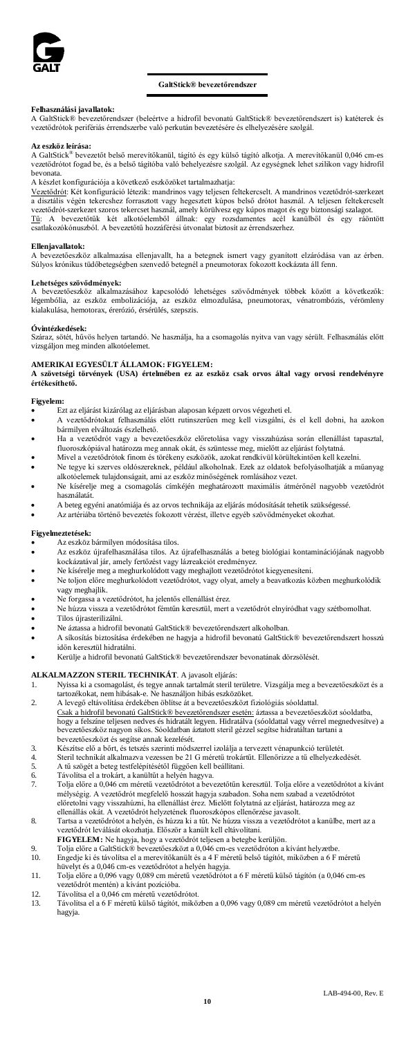

### **GaltStick® bevezetőrendszer**

#### **Felhasználási javallatok:**

A GaltStick® bevezetőrendszer (beleértve a hidrofil bevonatú GaltStick® bevezetőrendszert is) katéterek és vezetődrótok perifériás érrendszerbe való perkután bevezetésére és elhelyezésére szolgál.

#### **Az eszköz leírása:**

A GaltStick® bevezetőt belső merevítőkanül, tágító és egy külső tágító alkotja. A merevítőkanül 0,046 cm-es vezetődrótot fogad be, és a belső tágítóba való behelyezésre szolgál. Az egységnek lehet szilikon vagy hidrofil bevonata.

A készlet konfigurációja a következő eszközöket tartalmazhatja:

<u>Vezetődrót</u>: Két konfiguráció létezik: mandrinos vagy teljesen feltekercselt. A mandrinos vezetődrót-szerkezet<br>a disztális végén tekercshez forrasztott vagy hegesztett kúpos belső drótot használ. A teljesen feltekercselt vezetődrót-szerkezet szoros tekercset használ, amely körülvesz egy kúpos magot és egy biztonsági szalagot.<br><u>Tű</u> - A - bevezetőtük - két - alkotóelemből - állnak: - gey - rozsdamentes - acél - kanülből - és - egy - ráöntött

#### **Ellenjavallatok:**

A bevezetőeszköz alkalmazása ellenjavallt, ha a betegnek ismert vagy gyanított elzáródása van az érben. Súlyos krónikus tüdőbetegségben szenvedő betegnél a pneumotorax fokozott kockázata áll fenn.

#### **Lehetséges szövődmények:**

A bevezetőeszköz alkalmazásához kapcsolódó lehetséges szövődmények többek között a következők: légembólia, az eszköz embolizációja, az eszköz elmozdulása, pneumotorax, vénatrombózis, vérömleny kialakulása, hemotorax, érerózió, érsérülés, szepszis.

#### **Óvintézkedések:**

Száraz, sötét, hűvös helyen tartandó. Ne használja, ha a csomagolás nyitva van vagy sérült. Felhasználás előtt vizsgáljon meg minden alkotóelemet.

### **AMERIKAI EGYESÜLT ÁLLAMOK: FIGYELEM:**

**A szövetségi törvények (USA) értelmében ez az eszköz csak orvos által vagy orvosi rendelvényre értékesíthető.**

#### **Figyelem:**

- Ezt az eljárást kizárólag az eljárásban alaposan képzett orvos végezheti el.
- A vezetődrótokat felhasználás előtt rutinszerűen meg kell vizsgálni, és el kell dobni, ha azokon bármilyen elváltozás észlelhető.
- Ha a vezetődrót vagy a bevezetőeszköz előretolása vagy visszahúzása során ellenállást tapasztal, fluoroszkópiával határozza meg annak okát, és szüntesse meg, mielőtt az eljárást folytatná. • Mivel a vezetődrótok finom és törékeny eszközök, azokat rendkívül körültekintően kell kezelni.
- Ne tegye ki szerves oldószereknek, például alkoholnak. Ezek az oldatok befolyásolhatják a műanyag alkotóelemek tulajdonságait, ami az eszköz minőségének romlásához vezet.
- Ne kísérelje meg a csomagolás címkéjén meghatározott maximális átmérőnél nagyobb vezetődrót használatát.
- A beteg egyéni anatómiája és az orvos technikája az eljárás módosítását tehetik szükségessé.
- Az artériába történő bevezetés fokozott vérzést, illetve egyéb szövődményeket okozhat.

#### **Figyelmeztetések:**

- $\overrightarrow{A}$ z eszköz bármilyen módosítása tilos.
- Az eszköz újrafelhasználása tilos. Az újrafelhasználás a beteg biológiai kontaminációjának nagyobb kockázatával jár, amely fertőzést vagy lázreakciót eredményez. • Ne kísérelje meg a meghurkolódott vagy meghajlott vezetődrótot kiegyenesíteni.
- 
- Ne toljon előre meghurkolódott vezetődrótot, vagy olyat, amely a beavatkozás közben meghurkolódik vagy meghajlik.
- Ne forgassa a vezetődrótot, ha jelentős ellenállást érez.
- Ne húzza vissza a vezetődrótot fémtűn keresztül, mert a vezetődrót elnyíródhat vagy szétbomolhat.
- Tilos újrasterilizálni.<br>• Ne áztassa a hidrofil
- Ne áztassa a hidrofil bevonatú GaltStick® bevezetőrendszert alkoholban. • A síkosítás biztosítása érdekében ne hagyja a hidrofil bevonatú GaltStick® bevezetőrendszert hosszú
- időn keresztül hidratálni.
- Kerülje a hidrofil bevonatú GaltStick® bevezetőrendszer bevonatának dörzsölését.

- **ALKALMAZZON STERIL TECHNIKÁT**. A javasolt eljárás:<br>1. Nyissa ki a csomagolást, és tegye annak tartalmát steril területre. Vizsgálja meg a bevezetőeszközt és a
- tartozékokat, nem hibásak-e. Ne használjon hibás eszközöket. 2. A levegő eltávolítása érdekében öblítse át a bevezetőeszközt fiziológiás sóoldattal. Csak a hidrofil bevonatú GaltStick® bevezetőrendszer esetén: áztassa a bevezetőeszközt sóoldatba, hogy a felszíne teljesen nedves és hidratált legyen. Hidratálva (sóoldattal vagy vérrel megnedvesítve) a bevezetőeszköz nagyon síkos. Sóoldatban áztatott steril gézzel segítse hidratáltan tartani a
- bevezetőeszközt és segítse annak kezelését. 3. Készítse elő a bőrt, és tetszés szerinti módszerrel izolálja a tervezett vénapunkció területét.
- 4. Steril technikát alkalmazva vezessen be 21 G méretű trokártűt. Ellenőrizze a tű elhelyezkedését.
- 5. A tű szögét a beteg testfelépítésétől függően kell beállítani.<br>6. Távolítsa el a trokárt, a kanültűt a helyén hagyva.
- 
- 6. Távolítsa el a trokárt, a kanültűt a helyén hagyva. 7. Tolja előre a 0,046 cm méretű vezetődrótot a bevezetőtűn keresztül. Tolja előre a vezetődrótot a kívánt mélységig. A vezetődrót megfelelő hosszát hagyja szabadon. Soha nem szabad a vezetődrótot<br>előretolni vagy visszahúzni, ha ellenállást érez. Mielőtt folytatná az eljárást, határozza meg az<br>ellenállás okát. A vezetődrót hely
- 8. Tartsa a vezetődrótot a helyén, és húzza ki a tűt. Ne húzza vissza a vezetődrótot a kanülbe, mert az a vezetődrót leválását okozhatja. Először a kanült kell eltávolítani.
- **FIGYELEM:** Ne hagyja, hogy a vezetődrót teljesen a betegbe kerüljön.

9. Tolja előre a GaltStick® bevezetőeszközt a 0,046 cm-es vezetődróton a kívánt helyzetbe. 10. Engedje ki és távolítsa el a merevítőkanült és a 4 F méretű belső tágítót, miközben a 6 F méretű

- hüvelyt és a 0,046 cm-es vezetődrótot a helyén hagyja. 11. Tolja előre a 0,096 vagy 0,089 cm méretű vezetődrótot a 6 F méretű külső tágítón (a 0,046 cm-es vezetődrót mentén) a kívánt pozícióba.
- 
- 12. Távolítsa el a 0,046 cm méretű vezetődrótot.<br>13. Távolítsa el a 6 F méretű külső tágítót, mikö 13. Távolítsa el a 6 F méretű külső tágítót, miközben a 0,096 vagy 0,089 cm méretű vezetődrótot a helyén hagyja.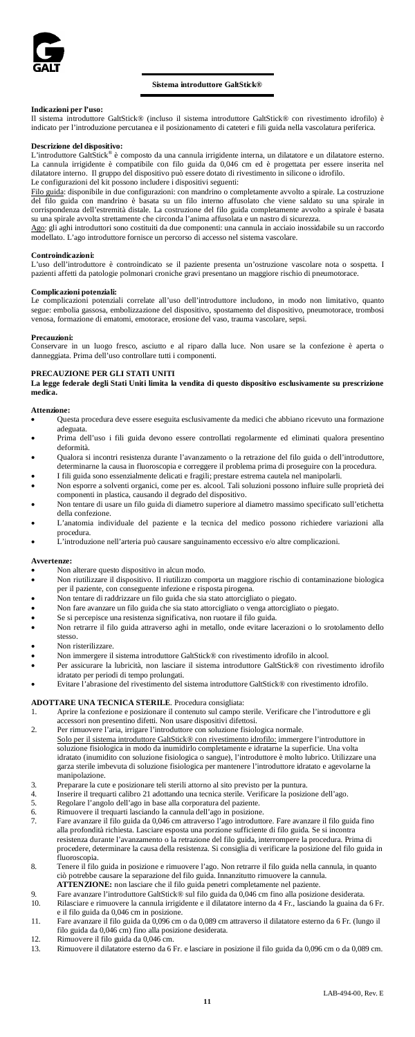

#### **Sistema introduttore GaltStick®**

#### **Indicazioni per l'uso:**

Il sistema introduttore GaltStick® (incluso il sistema introduttore GaltStick® con rivestimento idrofilo) è indicato per l'introduzione percutanea e il posizionamento di cateteri e fili guida nella vascolatura periferica.

#### **Descrizione del dispositivo:**

L'introduttore GaltStick® è composto da una cannula irrigidente interna, un dilatatore e un dilatatore esterno. La cannula irrigidente è compatibile con filo guida da 0,046 cm ed è progettata per essere inserita nel dilatatore interno. Il gruppo del dispositivo può essere dotato di rivestimento in silicone o idrofilo. Le configurazioni del kit possono includere i dispositivi seguenti:

Filo guida: disponibile in due configurazioni: con mandrino o completamente avvolto a spirale. La costruzione del filo guida con mandrino è basata su un filo interno affusolato che viene saldato su una spirale in corrispondenza dell'estremità distale. La costruzione del filo guida completamente avvolto a spirale è basata su una spirale avvolta strettamente che circonda l'anima affusolata e un nastro di sicurezza.

Ago: gli aghi introduttori sono costituiti da due componenti: una cannula in acciaio inossidabile su un raccordo modellato. L'ago introduttore fornisce un percorso di accesso nel sistema vascolare.

#### **Controindicazioni:**

L'uso dell'introduttore è controindicato se il paziente presenta un'ostruzione vascolare nota o sospetta. I pazienti affetti da patologie polmonari croniche gravi presentano un maggiore rischio di pneumotorace.

#### **Complicazioni potenziali:**

Le complicazioni potenziali correlate all'uso dell'introduttore includono, in modo non limitativo, quanto segue: embolia gassosa, embolizzazione del dispositivo, spostamento del dispositivo, pneumotorace, trombosi venosa, formazione di ematomi, emotorace, erosione del vaso, trauma vascolare, sepsi.

#### **Precauzioni:**

Conservare in un luogo fresco, asciutto e al riparo dalla luce. Non usare se la confezione è aperta o danneggiata. Prima dell'uso controllare tutti i componenti.

#### **PRECAUZIONE PER GLI STATI UNITI**

**La legge federale degli Stati Uniti limita la vendita di questo dispositivo esclusivamente su prescrizione medica.**

#### **Attenzione:**

- Questa procedura deve essere eseguita esclusivamente da medici che abbiano ricevuto una formazione adeguata.
- Prima dell'uso i fili guida devono essere controllati regolarmente ed eliminati qualora presentino deformità.
- Qualora si incontri resistenza durante l'avanzamento o la retrazione del filo guida o dell'introduttore, determinarne la causa in fluoroscopia e correggere il problema prima di proseguire con la procedura.
- 
- I fili guida sono essenzialmente delicati e fragili; prestare estrema cautela nel manipolarli.<br>
Non esporre a solventi organici, come per es. alcool. Tali soluzioni possono influire sulle proprietà dei<br>
Omponenti in plasti
- della confezione.
- L'anatomia individuale del paziente e la tecnica del medico possono richiedere variazioni alla procedura. • L'introduzione nell'arteria può causare sanguinamento eccessivo e/o altre complicazioni.
- 

#### **Avvertenze:**

- Non alterare questo dispositivo in alcun modo.<br>• Non riutilizzare il dispositivo Il riutilizzo con
- Non riutilizzare il dispositivo. Il riutilizzo comporta un maggiore rischio di contaminazione biologica
- per il paziente, con conseguente infezione e risposta pirogena. Non tentare di raddrizzare un filo guida che sia stato attorcigliato o piegato.
- Non fare avanzare un filo guida che sia stato attorcigliato o venga attorcigliato o piegato.<br>• Se si percepisce una resistenza significativa, non ruotare il filo guida
- Se si percepisce una resistenza significativa, non ruotare il filo guida.<br>• Non retrarre il filo guida attraverso agbi in metallo, onde evitare la
- Non retrarre il filo guida attraverso aghi in metallo, onde evitare lacerazioni o lo srotolamento dello stesso.
- Non risterilizzare
- Non immergere il sistema introduttore GaltStick® con rivestimento idrofilo in alcool.<br>• Per assicurare la lubricità non lasciare il sistema introduttore GaltStick® con rive
- Per assicurare la lubricità, non lasciare il sistema introduttore GaltStick® con rivestimento idrofilo idratato per periodi di tempo prolungati.
- Evitare l'abrasione del rivestimento del sistema introduttore GaltStick® con rivestimento idrofilo.

# **ADOTTARE UNA TECNICA STERILE**. Procedura consigliata:<br>1. Aprire la confezione e posizionare il contenuto sul campo s

- 1. Aprire la confezione e posizionare il contenuto sul campo sterile. Verificare che l'introduttore e gli accessori non presentino difetti. Non usare dispositivi difettosi. 2. Per rimuovere l'aria, irrigare l'introduttore con soluzione fisiologica normale.
- Solo per il sistema introduttore GaltStick® con rivestimento idrofilo: immergere l'introduttore in soluzione fisiologica in modo da inumidirlo completamente e idratarne la superficie. Una volta ca in modo da inumidirlo completamente e idratarne la superficie. Una volta idratato (inumidito con soluzione fisiologica o sangue), l'introduttore è molto lubrico. Utilizzare una garza sterile imbevuta di soluzione fisiologica per mantenere l'introduttore idratato e agevolarne la manipolazione.
- 3. Preparare la cute e posizionare teli sterili attorno al sito previsto per la puntura.
- 4. Inserire il trequarti calibro 21 adottando una tecnica sterile. Verificare la posizione dell'ago.
- 5. Regolare l'angolo dell'ago in base alla corporatura del paziente.
- 6. Rimuovere il trequarti lasciando la cannula dell'ago in posizione.
- 7. Fare avanzare il filo guida da 0,046 cm attraverso l'ago introduttore. Fare avanzare il filo guida fino alla profondità richiesta. Lasciare esposta una porzione sufficiente di filo guida. Se si incontra resistenza durante l'avanzamento o la retrazione del filo guida, interrompere la procedura. Prima di procedere, determinare la causa della resistenza. Si consiglia di verificare la posizione del filo guida in fluoroscopia.
- 8. Tenere il filo guida in posizione e rimuovere l'ago. Non retrarre il filo guida nella cannula, in quanto ciò potrebbe causare la separazione del filo guida. Innanzitutto rimuovere la cannula. **ATTENZIONE:** non lasciare che il filo guida penetri completamente nel paziente.
- 9. Fare avanzare l'introduttore GaltStick® sul filo guida da 0,046 cm fino all<br>10. Rilasciare e rimuovere la cannula irrigidente e il dilatatore interno da 4 Fr. 10. Rilasciare e rimuovere la cannula irrigidente e il dilatatore interno da 4 Fr., lasciando la guaina da 6 Fr. e il filo guida da 0,046 cm in posizione.
- 11. Fare avanzare il filo guida da 0,096 cm o da 0,089 cm attraverso il dilatatore esterno da 6 Fr. (lungo il<br> filo guida da 0,046 cm) fino alla posizione desiderata.<br>12. Rimuovere il filo guida da 0,046 cm
- 
- 13. Rimuovere il dilatatore esterno da 6 Fr. e lasciare in posizione il filo guida da 0,096 cm o da 0,089 cm.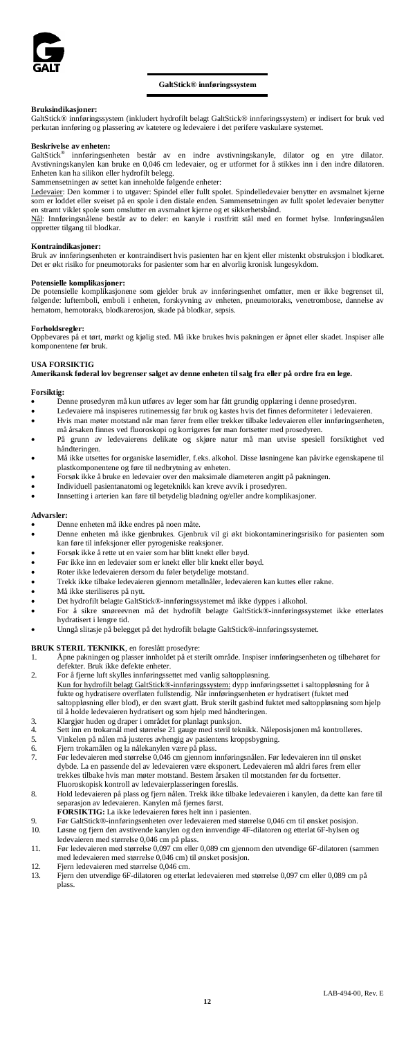

### **GaltStick® innføringssystem**

## **Bruksindikasjoner:**

GaltStick® innføringssystem (inkludert hydrofilt belagt GaltStick® innføringssystem) er indisert for bruk ved perkutan innføring og plassering av katetere og ledevaiere i det perifere vaskulære systemet.

#### **Beskrivelse av enheten:**

GaltStick® innføringsenheten består av en indre avstivningskanyle, dilator og en ytre dilator. Avstivningskanylen kan bruke en 0,046 cm ledevaier, og er utformet for å stikkes inn i den indre dilatoren. Enheten kan ha silikon eller hydrofilt belegg.

Sammensetningen av settet kan inneholde følgende enheter:

<mark>Ledevaier</mark>: Den kommer i to utgaver: Spindel eller fullt spolet. Spindelledevaier benytter en avsmalnet kjerne<br>som er loddet eller sveiset på en spole i den distale enden. Sammensetningen av fullt spolet ledevaier benytte

en stramt viklet spole som omslutter en avsmalnet kjerne og et sikkerhetsbånd.<br><u>Nål</u>: Innføringsnålene består av to deler: en kanyle i rustfritt stål med en formet hylse. Innføringsnålen oppretter tilgang til blodkar.

#### **Kontraindikasjoner:**

Bruk av innføringsenheten er kontraindisert hvis pasienten har en kjent eller mistenkt obstruksjon i blodkaret. Det er økt risiko for pneumotoraks for pasienter som har en alvorlig kronisk lungesykdom.

#### **Potensielle komplikasjoner:**

De potensielle komplikasjonene som gjelder bruk av innføringsenhet omfatter, men er ikke begrenset til, følgende: luftemboli, emboli i enheten, forskyvning av enheten, pneumotoraks, venetrombose, dannelse av hematom, hemotoraks, blodkarerosjon, skade på blodkar, sepsis.

#### **Forholdsregler:**

Oppbevares på et tørt, mørkt og kjølig sted. Må ikke brukes hvis pakningen er åpnet eller skadet. Inspiser alle komponentene før bruk.

### **USA FORSIKTIG**

**Amerikansk føderal lov begrenser salget av denne enheten til salg fra eller på ordre fra en lege.**

- **Forsiktig:** Denne prosedyren må kun utføres av leger som har fått grundig opplæring i denne prosedyren.
- Ledevaiere må inspiseres rutinemessig før bruk og kastes hvis det finnes deformiteter i ledevaieren.<br>• Hvis man møter motstand når man fører fram eller trekker tilheke ledevajeren eller innføringsenh
- Hvis man møter motstand når man fører frem eller trekker tilbake ledevaieren eller innføringsenheten, må årsaken finnes ved fluoroskopi og korrigeres før man fortsetter med prosedyren.
- På grunn av ledevaierens delikate og skjøre natur må man utvise spesiell forsiktighet ved håndteringen.
- Må ikke utsettes for organiske løsemidler, f.eks. alkohol. Disse løsningene kan påvirke egenskapene til plastkomponentene og føre til nedbrytning av enheten.
- Forsøk ikke å bruke en ledevaier over den maksimale diameteren angitt på pakningen.
- Individuell pasientanatomi og legeteknikk kan kreve avvik i prosedyren.
- Innsetting i arterien kan føre til betydelig blødning og/eller andre komplikasjoner.

#### **Advarsler:**

- Denne enheten må ikke endres på noen måte.
- Denne enheten må ikke gjenbrukes. Gjenbruk vil gi økt biokontamineringsrisiko for pasienten som kan føre til infeksjoner eller pyrogeniske reaksjoner.
- Forsøk ikke å rette ut en vaier som har blitt knekt eller bøyd.<br>• Før ikke inn en ledevaier som er knekt eller blir knekt eller b
- Før ikke inn en ledevaier som er knekt eller blir knekt eller bøyd.
- Roter ikke ledevaieren dersom du føler betydelige motstand.<br>• Trekk ikke tilbake ledevaieren gjennom metallnåler, ledevaie
- Trekk ikke tilbake ledevaieren gjennom metallnåler, ledevaieren kan kuttes eller rakne.
- 
- Må ikke steriliseres på nytt.
- Det hydrofilt belagte GaltStick®-innføringssystemet må ikke dyppes i alkohol.<br>• For å sikre, smøreevnen, må det, hydrofilt, belagte, GaltStick®-innføringss • For å sikre smøreevnen må det hydrofilt belagte GaltStick®-innføringssystemet ikke etterlates hydratisert i lengre tid.
- Unngå slitasje på belegget på det hydrofilt belagte GaltStick®-innføringssystemet.

# **BRUK STERIL TEKNIKK**, en foreslått prosedyre:<br>1. Åpne pakningen og plasser innholdet på et st

- 1. Åpne pakningen og plasser innholdet på et sterilt område. Inspiser innføringsenheten og tilbehøret for defekter. Bruk ikke defekte enheter.
- 2. For å fjerne luft skylles innføringssettet med vanlig saltoppløsning. Kun for hydrofilt belagt GaltStick®-innføringssystem: dypp innføringssettet i saltoppløsning for å fukte og hydratisere overflaten fullstendig. Når innføringsenheten er hydratisert (fuktet med saltoppløsning eller blod), er den svært glatt. Bruk sterilt gasbind fuktet med saltoppløsning som hjelp til å holde ledevaieren hydratisert og som hjelp med håndteringen.
- 
- 3. Klargjør huden og draper i området for planlagt punksjon. 4. Sett inn en trokarnål med størrelse 21 gauge med steril teknikk. Nåleposisjonen må kontrolleres.
- 5. Vinkelen på nålen må justeres avhengig av pasientens kroppsbygning. 6. Fjern trokarnålen og la nålekanylen være på plass.
- 
- 7. Før ledevaieren med størrelse 0,046 cm gjennom innføringsnålen. Før ledevaieren inn til ønsket dybde. La en passende del av ledevaieren være eksponert. Ledevaieren må aldri føres frem eller trekkes tilbake hvis man møter motstand. Bestem årsaken til motstanden før du fortsetter. Fluoroskopisk kontroll av ledevaierplasseringen foreslås.
- 8. Hold ledevaieren på plass og fjern nålen. Trekk ikke tilbake ledevaieren i kanylen, da dette kan føre til separasjon av ledevaieren. Kanylen må fjernes først.
- **FORSIKTIG:** La ikke ledevaieren føres helt inn i pasienten.
- 9. Før GaltStick®-innføringsenheten over ledevaieren med størrelse 0,046 cm til ønsket posisjon. 10. Løsne og fjern den avstivende kanylen og den innvendige 4F-dilatoren og etterlat 6F-hylsen og ledevaieren med størrelse 0,046 cm på plass.
- 11. Før ledevaieren med størrelse 0,097 cm eller 0,089 cm gjennom den utvendige 6F-dilatoren (sammen med ledevaieren med størrelse 0,046 cm) til ønsket posisjon.
- 
- 12. Fjern ledevaieren med størrelse 0,046 cm. 13. Fjern den utvendige 6F-dilatoren og etterlat ledevaieren med størrelse 0,097 cm eller 0,089 cm på plass.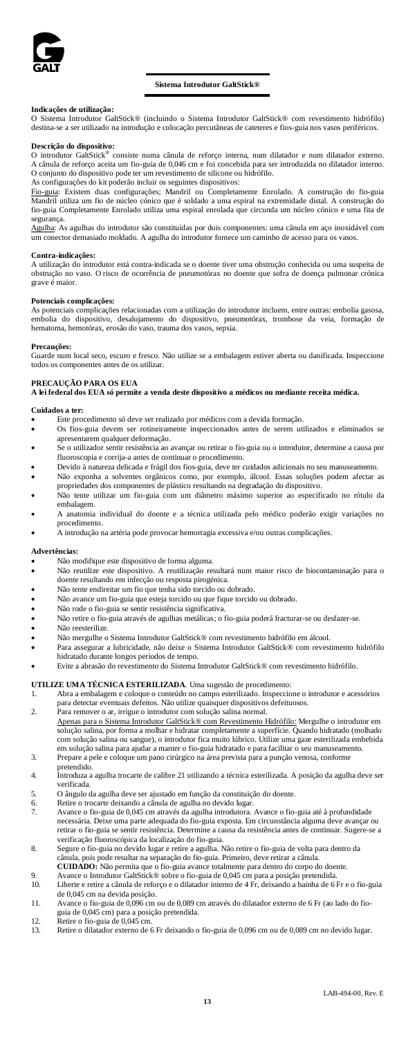

#### **Sistema Introdutor GaltStick®**

#### **Indicações de utilização:**

O Sistema Introdutor GaltStick® (incluindo o Sistema Introdutor GaltStick® com revestimento hidrófilo) destina-se a ser utilizado na introdução e colocação percutâneas de cateteres e fios-guia nos vasos periféricos.

**Descrição do dispositivo:** O introdutor GaltStick® consiste numa cânula de reforço interna, num dilatador e num dilatador externo. A cânula de reforço aceita um fio-guia de 0,046 cm e foi concebida para ser introduzida no dilatador interno. O conjunto do dispositivo pode ter um revestimento de silicone ou hidrófilo.

As configurações do kit poderão incluir os seguintes dispositivos:<br><u>Fio-guia</u>: Existem duas configurações; Mandril ou Completamente Enrolado. A construção do fio-guia<br>Mandril utiliza um fio de núcleo cónico que é fio-guia Completamente Enrolado utiliza uma espiral enrolada que circunda um núcleo cónico e uma fita de segurança.

Agulha: As agulhas do introdutor são constituídas por dois componentes: uma cânula em aço inoxidável com um conector demasiado moldado. A agulha do introdutor fornece um caminho de acesso para os vasos.

#### **Contra-indicações:**

A utilização do introdutor está contra-indicada se o doente tiver uma obstrução conhecida ou uma suspeita de obstrução no vaso. O risco de ocorrência de pneumotórax no doente que sofra de doença pulmonar crónica grave é maior.

#### **Potenciais complicações:**

potenciais complicações relacionadas com a utilização do introdutor incluem, entre outras: embolia gasos embolia do dispositivo, desalojamento do dispositivo, pneumotórax, trombose da veia, formação de hematoma, hemotórax, erosão do vaso, trauma dos vasos, sepsia.

#### **Precauções:**

Guarde num local seco, escuro e fresco. Não utilize se a embalagem estiver aberta ou danificada. Inspeccione todos os componentes antes de os utilizar.

### **PRECAUÇÃO PARA OS EUA**

**A lei federal dos EUA só permite a venda deste dispositivo a médicos ou mediante receita médica.**

#### **Cuidados a ter:**

- Este procedimento só deve ser realizado por médicos com a devida formação.
- Os fios-guia devem ser rotineiramente inspeccionados antes de serem utilizados e eliminados se apresentarem qualquer deformação.
- Se o utilizador sentir resistência ao avançar ou retirar o fio-guia ou o introdutor, determine a causa por fluoroscopia e corrija-a antes de continuar o procedimento.
- Devido à natureza delicada e frágil dos fios-guia, deve ter cuidados adicionais no seu manuseamento.
- Não exponha a solventes orgânicos como, por exemplo, álcool. Essas soluções podem afectar as propriedades dos componentes de plástico resultando na degradação do dispositivo. • Não tente utilizar um fio-guia com um diâmetro máximo superior ao especificado no rótulo da
- embalagem. • A anatomia individual do doente e a técnica utilizada pelo médico poderão exigir variações no
- procedimento.
- A introdução na artéria pode provocar hemorragia excessiva e/ou outras complicações.

#### **Advertências:**

- Não modifique este dispositivo de forma alguma.
- Não reutilize este dispositivo. A reutilização resultará num maior risco de biocontaminação para o doente resultando em infecção ou resposta pirogénica.
- Não tente endireitar um fio que tenha sido torcido ou dobrado.
- Não avance um fio-guia que esteja torcido ou que fique torcido ou dobrado.
- Não rode o fio-guia se sentir resistência significativa.
- Não retire o fio-guia através de agulhas metálicas; o fio-guia poderá fracturar-se ou desfazer-se.
- Não reesterilize.
- Não mergulhe o Sistema Introdutor GaltStick® com revestimento hidrófilo em álcool.
- Para assegurar a lubricidade, não deixe o Sistema Introdutor GaltStick® com revestimento hidrófilo hidratado durante longos períodos de tempo.
- Evite a abrasão do revestimento do Sistema Introdutor GaltStick® com revestimento hidrófilo.

# **UTILIZE UMA TÉCNICA ESTERILIZADA**. Uma sugestão de procedimento:

- 1. Abra a embalagem e coloque o conteúdo no campo esterilizado. Inspeccione o introdutor e acessórios para detectar eventuais defeitos. Não utilize quaisquer dispositivos defeituosos.
- 2. Para remover o ar, irrigue o introdutor com solução salina normal. Apenas para o Sistema Introdutor GaltStick® com Revestimento Hidrófilo: Mergulhe o introdutor em solução salina, por forma a molhar e hidratar completamente a superfície. Quando hidratado (molhado com solução salina ou sangue), o introdutor fica muito lúbrico. Utilize uma gaze esterilizada embebida em solução salina para ajudar a manter o fio-guia hidratado e para facilitar o seu manuseamento.
- 3. Prepare a pele e coloque um pano cirúrgico na área prevista para a punção venosa, conforme .<br>endido
- 4. Introduza a agulha trocarte de calibre 21 utilizando a técnica esterilizada. A posição da agulha deve ser verificada.
- 5. O ângulo da agulha deve ser ajustado em função da constituição do doente. Retire o trocarte deixando a cânula de agulha no devido lugar.
- 7. Avance o fio-guia de 0,045 cm através da agulha introdutora. Avance o fio-guia até à profundidade necessária. Deixe uma parte adequada do fio-guia exposta. Em circunstância alguma deve avançar ou retirar o fio-guia se sentir resistência. Determine a causa da resistência antes de continuar. Sugere-se a verificação fluoroscópica da localização do fio-guia.
- 8. Segure o fio-guia no devido lugar e retire a agulha. Não retire o fio-guia de volta para dentro da cânula, pois pode resultar na separação do fio-guia. Primeiro, deve retirar a cânula.
- **CUIDADO:** Não permita que o fio-guia avance totalmente para dentro do corpo do doente. 9. Avance o Introdutor GaltStick® sobre o fio-guia de 0,045 cm para a posição pretendida.
- 10. Liberte e retire a cânula de reforço e o dilatador interno de 4 Fr, deixando a bainha de 6 Fr e o fio-guia de 0,045 cm na devida posição.
- 11. Avance o fio-guia de 0,096 cm ou de 0,089 cm através do dilatador externo de 6 Fr (ao lado do fioguia de 0,045 cm) para a posição pretendida.
- 
- 12. Retire o fio-guia de 0,045 cm. 13. Retire o dilatador externo de 6 Fr deixando o fio-guia de 0,096 cm ou de 0,089 cm no devido lugar.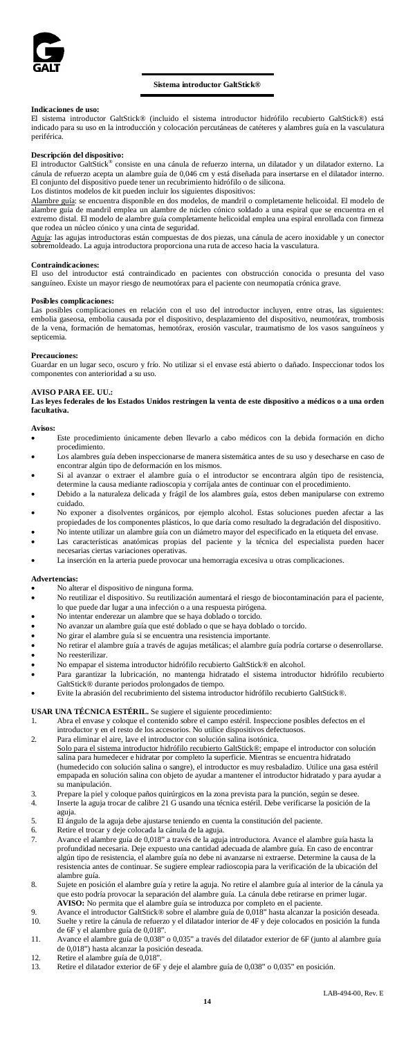

#### **Sistema introductor GaltStick®**

**Indicaciones de uso:** El sistema introductor GaltStick® (incluido el sistema introductor hidrófilo recubierto GaltStick®) está indicado para su uso en la introducción y colocación percutáneas de catéteres y alambres guía en la vasculatura periférica.

# **Descripción del dispositivo:**

El introductor GaltStick® consiste en una cánula de refuerzo interna, un dilatador y un dilatador externo. La cánula de refuerzo acepta un alambre guía de 0,046 cm y está diseñada para insertarse en el dilatador interno. El conjunto del dispositivo puede tener un recubrimiento hidrófilo o de silicona.

Los distintos modelos de kit pueden incluir los siguientes dispositivos:<br><u>Alambre guía</u>: se encuentra disponible en dos modelos, de mandril o completamente helicoidal. El modelo de alambre guía de mandril emplea un alambre de núcleo cónico soldado a una espiral que se encuentra en el extremo distal. El modelo de alambre guía completamente helicoidal emplea una espiral enrollada con firmeza que rodea un núcleo cónico y una cinta de seguridad.

Aguja: las agujas introductoras están compuestas de dos piezas, una cánula de acero inoxidable y un conector<br>sobremoldeado. La aguja introductora proporciona una ruta de acceso hacia la vasculatura.

### **Contraindicaciones:**

El uso del introductor está contraindicado en pacientes con obstrucción conocida o presunta del vaso sanguíneo. Existe un mayor riesgo de neumotórax para el paciente con neumopatía crónica grave.

## **Posibles complicaciones:**

Las posibles complicaciones en relación con el uso del introductor incluyen, entre otras, las siguientes: embolia gaseosa, embolia causada por el dispositivo, desplazamiento del dispositivo, neumotórax, trombosis de la vena, formación de hematomas, hemotórax, erosión vascular, traumatismo de los vasos sanguíneos y septicemia.

#### **Precauciones:**

Guardar en un lugar seco, oscuro y frío. No utilizar si el envase está abierto o dañado. Inspeccionar todos los componentes con anterioridad a su uso.

**AVISO PARA EE. UU.: Las leyes federales de los Estados Unidos restringen la venta de este dispositivo a médicos o a una orden facultativa.**

### Aviso

- Este procedimiento únicamente deben llevarlo a cabo médicos con la debida formación en dicho procedimiento. • Los alambres guía deben inspeccionarse de manera sistemática antes de su uso y desecharse en caso de
- encontrar algún tipo de deformación en los mismos.
- Si al avanzar o extraer el alambre guía o el introductor se encontrara algún tipo de resistencia, determine la causa mediante radioscopia y corríjala antes de continuar con el procedimiento.
- Debido a la naturaleza delicada y frágil de los alambres guía, estos deben manipularse con extremo cuidado. • No exponer a disolventes orgánicos, por ejemplo alcohol. Estas soluciones pueden afectar a las
- propiedades de los componentes plásticos, lo que daría como resultado la degradación del dispositivo.
- No intente utilizar un alambre guía con un diámetro mayor del especificado en la etiqueta del envase.<br>Las características apatómicas propias del paciente y la técnica del eneciplista pueden hac Las características anatómicas propias del paciente y la técnica del especialista pueden hacer
- necesarias ciertas variaciones operativas. La inserción en la arteria puede provocar una hemorragia excesiva u otras complicaciones

#### **Advertencias:**

- No alterar el dispositivo de ninguna forma.<br>• No reutilizar el dispositivo Su reutilización
- No reutilizar el dispositivo. Su reutilización aumentará el riesgo de biocontaminación para el paciente, lo que puede dar lugar a una infección o a una respuesta pirógena.
- No intentar enderezar un alambre que se haya doblado o torcido.
- No avanzar un alambre guía que esté doblado o que se haya doblado o torcido.
- No girar el alambre guía si se encuentra una resistencia importante. • No retirar el alambre guía a través de agujas metálicas; el alambre guía podría cortarse o desenrollarse.
- No reesterilizar.
- No empapar el sistema introductor hidrófilo recubierto GaltStick® en alcohol.
- Para garantizar la lubricación, no mantenga hidratado el sistema introductor hidrófilo recubierto
- GaltStick® durante periodos prolongados de tiempo. Evite la abrasión del recubrimiento del sistema introductor hidrófilo recubierto GaltStick®.

# **USAR UNA TÉCNICA ESTÉRIL.** Se sugiere el siguiente procedimiento:

- 1. Abra el envase y coloque el contenido sobre el campo estéril. Inspeccione posibles defectos en el introductor y en el resto de los accesorios. No utilice dispositivos defectuosos.
- 2. Para eliminar el aire, lave el introductor con solución salina isotónica. <u>Solo para el sistema introductor hidrófilo recubierto GaltStick®:</u> empape el introductor con solución<br>salina para humedecer e hidratar por completo la superficie. Mientras se encuentra hidratado<br>(humedecido con solución s empapada en solución salina con objeto de ayudar a mantener el introductor hidratado y para ayudar a su manipulación.
- 3. Prepare la piel y coloque paños quirúrgicos en la zona prevista para la punción, según se desee. 4. Inserte la aguja trocar de calibre 21 G usando una técnica estéril. Debe verificarse la posición de la aguja.
- 5. El ángulo de la aguja debe ajustarse teniendo en cuenta la constitución del paciente. 6. Retire el trocar y deje colocada la cánula de la aguja.
- 
- 7. Avance el alambre guía de 0,018" a través de la aguja introductora. Avance el alambre guía hasta la<br>profundidad necesaria. Deje expuesto una cantidad adecuada de alambre guía. En caso de encontrar<br>algún tipo de resisten resistencia antes de continuar. Se sugiere emplear radioscopia para la verificación de la ubicación del ambre guía.
- 8. Sujete en posición el alambre guía y retire la aguja. No retire el alambre guía al interior de la cánula ya e esto podría provocar la separación del alambre guía. La cánula debe retirarse en primer lugar.
- **AVISO:** No permita que el alambre guía se introduzca por completo en el paciente.<br>9. Avance el introductor GaltStick® sobre el alambre guía de 0,018" hasta alcanzar la posición deseada.
- 10. Suelte y retire la cánula de refuerzo y el dilatador interior de 4F y deje colocados en posición la funda
- de 6F y el alambre guía de 0,018". 11. Avance el alambre guía de 0,038" o 0,035" a través del dilatador exterior de 6F (junto al alambre guía de 0,018") hasta alcanzar la posición deseada. 12. Retire el alambre guía de 0,018".
- 
- 13. Retire el dilatador exterior de 6F y deje el alambre guía de 0,038" o 0,035" en posición.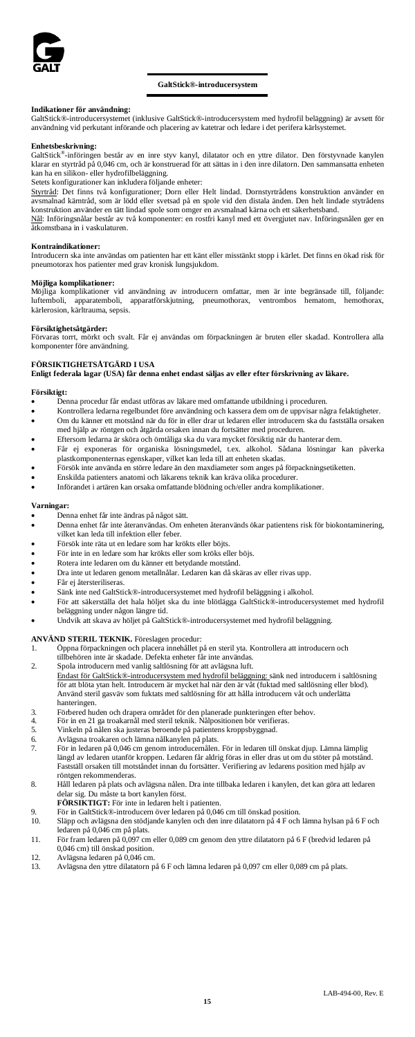

#### **GaltStick®-introducersystem**

### **Indikationer för användning:**

GaltStick®-introducersystemet (inklusive GaltStick®-introducersystem med hydrofil beläggning) är avsett för användning vid perkutant införande och placering av katetrar och ledare i det perifera kärlsystemet.

#### **Enhetsbeskrivning:**

GaltStick®-införingen består av en inre styv kanyl, dilatator och en yttre dilator. Den förstyvnade kanylen klarar en styrtråd på 0,046 cm, och är konstruerad för att sättas in i den inre dilatorn. Den sammansatta enheten kan ha en silikon- eller hydrofilbeläggning.

Setets konfigurationer kan inkludera följande enheter:<br><u>Styrtråd</u>: Det finns två konfigurationer; Dorn eller Helt lindad. Dornstyrtrådens konstruktion använder en<br>avsmalnad kärntråd, som är lödd eller svetsad på en spole v konstruktion använder en tätt lindad spole som omger en avsmalnad kärna och ett säkerhetsband.

Nål: Införingsnålar består av två komponenter: en rostfri kanyl med ett övergjutet nav. Införingsnålen ger en åtkomstbana in i vaskulaturen.

#### **Kontraindikationer:**

Introducern ska inte användas om patienten har ett känt eller misstänkt stopp i kärlet. Det finns en ökad risk för pneumotorax hos patienter med grav kronisk lungsjukdom.

### **Möjliga komplikationer:**

Möjliga komplikationer vid användning av introducern omfattar, men är inte begränsade till, följande:<br>luftemboli, apparatemboli, apparatförskjutning, pneumothorax, ventrombos hematom, hemothorax,<br>kärlerosion,kärltrauma,sep

#### **Försiktighetsåtgärder:**

Förvaras torrt, mörkt och svalt. Får ej användas om förpackningen är bruten eller skadad. Kontrollera alla komponenter före användning.

### **FÖRSIKTIGHETSÅTGÄRD I USA**

**Enligt federala lagar (USA) får denna enhet endast säljas av eller efter förskrivning av läkare.**

### **Försiktigt:**

• Denna procedur får endast utföras av läkare med omfattande utbildning i proceduren.

- Kontrollera ledarna regelbundet före användning och kassera dem om de uppvisar några felaktigheter. • Om du känner ett motstånd när du för in eller drar ut ledaren eller introducern ska du fastställa orsaken
- med hjälp av röntgen och åtgärda orsaken innan du fortsätter med proceduren.
- Eftersom ledarna är sköra och ömtåliga ska du vara mycket försiktig när du hanterar dem. ej exponeras för organiska lösningsmedel, t.ex.
- plastkomponenternas egenskaper, vilket kan leda till att enheten skadas. • Försök inte använda en större ledare än den maxdiameter som anges på förpackningsetiketten.
- Enskilda patienters anatomi och läkarens teknik kan kräva olika procedurer.
- Införandet i artären kan orsaka omfattande blödning och/eller andra komplikationer.

#### **Varningar:**

- Denna enhet får inte ändras på något sätt.<br>• Denna enhet får inte återanvändas. Om en
- Denna enhet får inte återanvändas. Om enheten återanvänds ökar patientens risk för biokontaminering, vilket kan leda till infektion eller feber.
- Försök inte räta ut en ledare som har krökts eller böjts.
- För inte in en ledare som har krökts eller som kröks eller böjs.<br>• Rotera inte ledaren om du känner ett betydande motstånd.
- Rotera inte ledaren om du känner ett betydande motstånd.
- Dra inte ut ledaren genom metallnålar. Ledaren kan då skäras av eller rivas upp.
- Får ej återsteriliseras.
- Sänk inte ned GaltStick®-introducersystemet med hydrofil beläggning i alkohol.
- För att säkerställa det hala höljet ska du inte blötlägga GaltStick®-introducersystemet med hydrofil beläggning under någon längre tid.
- Undvik att skava av höljet på GaltStick®-introducersystemet med hydrofil beläggning.

# **ANVÄND STERIL TEKNIK.** Föreslagen procedur:

- 1. Öppna förpackningen och placera innehållet på en steril yta. Kontrollera att introducern och tillbehören inte är skadade. Defekta enheter får inte användas.
- 
- 2. Spola introducern med vanlig saltlösning för att avlägsna luft. Endast för GaltStick®-introducersystem med hydrofil beläggning: sänk ned introducern i saltlösning För att blöta ytan helt. Introducern är mycket hal när den är våt (fuktad med saltlösning eller blod). Använd steril gasväv som fuktats med saltlösning för att hålla introducern våt och underlätta hanteringen.
- 3. Förbered huden och drapera området för den planerade punkteringen efter behov.
- 4. För in en 21 ga troakarnål med steril teknik. Nålpositionen bör verifieras. 5. Vinkeln på nålen ska justeras beroende på patientens kroppsbyggnad.
- 
- 6. Avlägsna troakaren och lämna nålkanylen på plats. 7. För in ledaren på 0,046 cm genom introducernålen. För in ledaren till önskat djup. Lämna lämplig
	- längd av ledaren utanför kroppen. Ledaren får aldrig föras in eller dras ut om du stöter på motstånd. Fastställ orsaken till motståndet innan du fortsätter. Verifiering av ledarens position med hjälp av röntgen rekommenderas.
- 8. Håll ledaren på plats och avlägsna nålen. Dra inte tillbaka ledaren i kanylen, det kan göra att ledaren delar sig. Du måste ta bort kanylen först. **FÖRSIKTIGT:** För inte in ledaren helt i patienten.
	-
- 9. För in GaltStick®-introducern över ledaren på 0,046 cm till önskad position.<br>10. Släpp och avlägsna den stödiande kanvlen och den inre dilatatorn på 4 E och 10. Släpp och avlägsna den stödjande kanylen och den inre dilatatorn på 4 F och lämna hylsan på 6 F och ledaren på 0,046 cm på plats.
- 11. För fram ledaren på 0,097 cm eller 0,089 cm genom den yttre dilatatorn på 6 F (bredvid ledaren på 0,046 cm) till önskad position. 12. Avlägsna ledaren på 0,046 cm.
- 
- 13. Avlägsna den yttre dilatatorn på 6 F och lämna ledaren på 0,097 cm eller 0,089 cm på plats.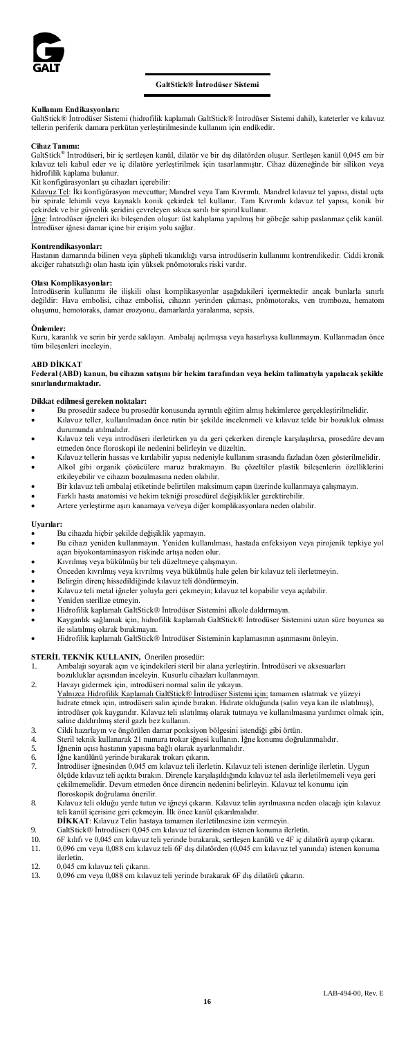

### **GaltStick® İntrodüser Sistemi**

**Kullanım Endikasyonları:** GaltStick® İntrodüser Sistemi (hidrofilik kaplamalı GaltStick® İntrodüser Sistemi dahil), kateterler ve kılavuz tellerin periferik damara perkütan yerleştirilmesinde kullanım için endikedir.

**Cihaz Tanımı:** GaltStick® İntrodüseri, bir iç sertleşen kanül, dilatör ve bir dış dilatörden oluşur. Sertleşen kanül 0,045 cm bir kılavuz teli kabul eder ve iç dilatöre yerleştirilmek için tasarlanmıştır. Cihaz düzeneğinde bir silikon veya hidrofilik kaplama bulunur.

Kit konfigürasyonları şu cihazları içerebilir:<br><u>Kılavuz Tel</u>: İki konfigürasyon mevcuttur; Mandrel veya Tam Kıvrımlı. Mandrel kılavuz tel yapısı, distal uçta<br>bir spirale lehimli veya kaynaklı konik çekirdek tel kullanır. T

çekirdek ve bir güvenlik şeridini çevreleyen sıkıca sarılı bir spiral kullanır.<br><u>İğne</u>: İntrodüser iğneleri iki bileşenden oluşur: üst kalıplama yapılmış bir göbeğe sahip paslanmaz çelik kanül. İntrodüser iğnesi damar içine bir erişim yolu sağlar.

# **Kontrendikasyonlar:**

.<br>Arında bilinen veya şüpheli tıkanıklığı varsa introdüserin kullanımı kontrendikedir. Ciddi kronik akciğer rahatsızlığı olan hasta için yüksek pnömotoraks riski vardır.

#### **Olası Komplikasyonlar:**

İntrodüserin kullanımı ile ilişkili olası komplikasyonlar aşağıdakileri içermektedir ancak bunlarla sınırlı değildir: Hava embolisi, cihaz embolisi, cihazın yerinden çıkması, pnömotoraks, ven trombozu, hematom oluşumu, hemotoraks, damar erozyonu, damarlarda yaralanma, sepsis.

#### **Önlemler:**

Kuru, karanlık ve serin bir yerde saklayın. Ambalaj açılmışsa veya hasarlıysa kullanmayın. Kullanmadan önce tüm bileşenleri inceleyin.

#### **ABD DİKKAT**

**Federal (ABD) kanun, bu cihazın satışını bir hekim tarafından veya hekim talimatıyla yapılacak şekilde sınırlandırmaktadır.** 

#### **Dikkat edilmesi gereken noktalar:**

- Bu prosedür sadece bu prosedür konusunda ayrıntılı eğitim almış hekimlerce gerçekleştirilmelidir.
- Kılavuz teller, kullanılmadan önce rutin bir şekilde incelenmeli ve kılavuz telde bir bozukluk olması durumunda atılmalıdır.
- Kılavuz teli veya introdüseri ilerletirken ya da geri çekerken dirençle karşılaşılırsa, prosedüre devam etmeden önce floroskopi ile nedenini belirleyin ve düzeltin. • Kılavuz tellerin hassas ve kırılabilir yapısı nedeniyle kullanım sırasında fazladan özen gösterilmelidir.
- Alkol gibi organik çözücülere maruz bırakmayın. Bu çözeltiler plastik bileşenlerin özelliklerini etkileyebilir ve cihazın bozulmasına neden olabilir.
- Bir kılavuz teli ambalaj etiketinde belirtilen maksimum çapın üzerinde kullanmaya çalışmayın.
- Farklı hasta anatomisi ve hekim tekniği prosedürel değişiklikler gerektirebilir.
- Artere yerleştirme aşırı kanamaya ve/veya diğer komplikasyonlara neden olabilir.

#### **Uyarılar:**

- Bu cihazda hiçbir şekilde değişiklik yapmayın.
- Bu cihazı yeniden kullanmayın. Yeniden kullanılması, hastada enfeksiyon veya pirojenik tepkiye yol açan biyokontaminasyon riskinde artışa neden olur.
- Kıvrılmış veya bükülmüş bir teli düzeltmeye çalışmayın.
- Önceden kıvrılmış veya kıvrılmış veya bükülmüş hale gelen bir kılavuz teli ilerletmeyin.
- Belirgin direnç hissedildiğinde kılavuz teli döndürmeyin.
- Kılavuz teli metal iğneler yoluyla geri çekmeyin; kılavuz tel kopabilir veya açılabilir.
- Yeniden sterilize etmeyin.<br>• Hidrofilik kaplamalı Galts
- Hidrofilik kaplamalı GaltStick® İntrodüser Sistemini alkole daldırmayın. • Kayganlık sağlamak için, hidrofilik kaplamalı GaltStick® İntrodüser Sistemini uzun süre boyunca su
- ile ıslatılmış olarak bırakmayın.
- Hidrofilik kaplamalı GaltStick® İntrodüser Sisteminin kaplamasının aşınmasını önleyin.

# **STERİL TEKNİK KULLANIN,** Önerilen prosedür:

- 1. Ambalajı soyarak açın ve içindekileri steril bir alana yerleştirin. İntrodüseri ve aksesuarları
- bozukluklar açısından inceleyin. Kusurlu cihazları kullanmayın.
- 2. Havayı gidermek için, introdüseri normal salin ile yıkayın. Yalnızca Hidrofilik Kaplamalı GaltStick® İntrodüser Sistemi için; tamamen ıslatmak ve yüzeyi<br>hidrate etmek için, introdüseri salin içinde bırakın. Hidrate olduğunda (salin veya kan ile ıslatılmış), introdüser çok kaygandır. Kılavuz teli ıslatılmış olarak tutmaya ve kullanılmasına yardımcı olmak için, saline daldırılmış steril gazlı bez kullanın.
- 3. Cildi hazırlayın ve öngörülen damar ponksiyon bölgesini istendiği gibi örtün.
- 4. Steril teknik kullanarak 21 numara trokar iğnesi kullanın. İğne konumu doğrulanmalıdır.
- 5. İğnenin açısı hastanın yapısına bağlı olarak ayarlanmalıdır. 6. İğne kanülünü yerinde bırakarak trokarı çıkarın.
- 
- 7. İntrodüser iğnesinden 0,045 cm kılavuz teli ilerletin. Kılavuz teli istenen derinliğe ilerletin. Uygun ölçüde kılavuz teli açıkta bırakın. Dirençle karşılaşıldığında kılavuz tel asla ilerletilmemeli veya geri çekilmemelidir. Devam etmeden önce direncin nedenini belirleyin. Kılavuz tel konumu için floroskopik doğrulama önerilir.
- 8. Kılavuz teli olduğu yerde tutun ve iğneyi çıkarın. Kılavuz telin ayrılmasına neden olacağı için kılavuz teli kanül içerisine geri çekmeyin. İlk önce kanül çıkarılmalıdır.
- **DİKKAT**: Kılavuz Telin hastaya tamamen ilerletilmesine izin vermeyin. 9. GaltStick® İntrodüseri 0,045 cm kılavuz tel üzerinden istenen konuma ilerletin.
- 
- 10. 6F kılıfı ve 0,045 cm kılavuz teli yerinde bırakarak, sertleşen kanülü ve 4F iç dilatörü ayırıp çıkarın.<br>11. 0.096 cm veva 0.088 cm kılavuz teli 6F dıs dilatörden (0.045 cm kılavuz tel vanında) istenen konun 11. 0,096 cm veya 0,088 cm kılavuz teli 6F dış dilatörden (0,045 cm kılavuz tel yanında) istenen konuma ilerletin.
- 
- 12. 0,045 cm kılavuz teli çıkarın. 13. 0,096 cm veya 0,088 cm kılavuz teli yerinde bırakarak 6F dış dilatörü çıkarın.